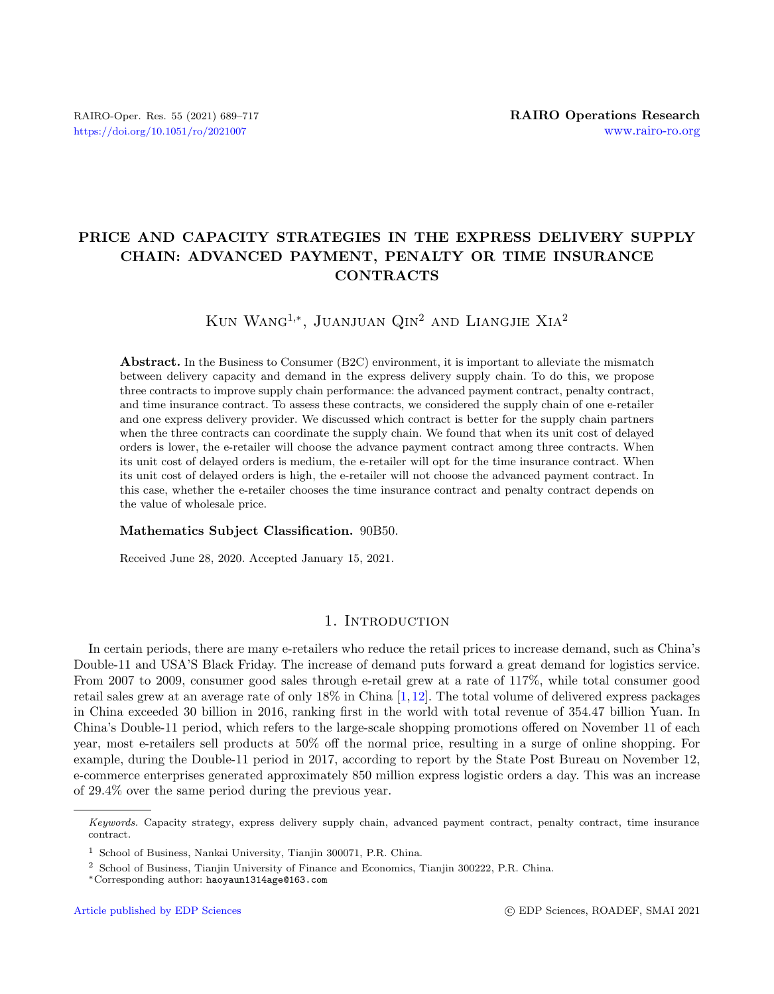# PRICE AND CAPACITY STRATEGIES IN THE EXPRESS DELIVERY SUPPLY CHAIN: ADVANCED PAYMENT, PENALTY OR TIME INSURANCE CONTRACTS

Kun Wang1,<sup>∗</sup> , Juanjuan Qin<sup>2</sup> and Liangjie Xia<sup>2</sup>

Abstract. In the Business to Consumer (B2C) environment, it is important to alleviate the mismatch between delivery capacity and demand in the express delivery supply chain. To do this, we propose three contracts to improve supply chain performance: the advanced payment contract, penalty contract, and time insurance contract. To assess these contracts, we considered the supply chain of one e-retailer and one express delivery provider. We discussed which contract is better for the supply chain partners when the three contracts can coordinate the supply chain. We found that when its unit cost of delayed orders is lower, the e-retailer will choose the advance payment contract among three contracts. When its unit cost of delayed orders is medium, the e-retailer will opt for the time insurance contract. When its unit cost of delayed orders is high, the e-retailer will not choose the advanced payment contract. In this case, whether the e-retailer chooses the time insurance contract and penalty contract depends on the value of wholesale price.

### Mathematics Subject Classification. 90B50.

Received June 28, 2020. Accepted January 15, 2021.

# 1. INTRODUCTION

In certain periods, there are many e-retailers who reduce the retail prices to increase demand, such as China's Double-11 and USA'S Black Friday. The increase of demand puts forward a great demand for logistics service. From 2007 to 2009, consumer good sales through e-retail grew at a rate of 117%, while total consumer good retail sales grew at an average rate of only 18% in China [\[1,](#page-27-0)[12\]](#page-27-1). The total volume of delivered express packages in China exceeded 30 billion in 2016, ranking first in the world with total revenue of 354.47 billion Yuan. In China's Double-11 period, which refers to the large-scale shopping promotions offered on November 11 of each year, most e-retailers sell products at 50% off the normal price, resulting in a surge of online shopping. For example, during the Double-11 period in 2017, according to report by the State Post Bureau on November 12, e-commerce enterprises generated approximately 850 million express logistic orders a day. This was an increase of 29.4% over the same period during the previous year.

Keywords. Capacity strategy, express delivery supply chain, advanced payment contract, penalty contract, time insurance contract.

<sup>1</sup> School of Business, Nankai University, Tianjin 300071, P.R. China.

<sup>2</sup> School of Business, Tianjin University of Finance and Economics, Tianjin 300222, P.R. China.

<sup>∗</sup>Corresponding author: [haoyaun1314age@163.com](mailto:haoyaun1314age@163.com)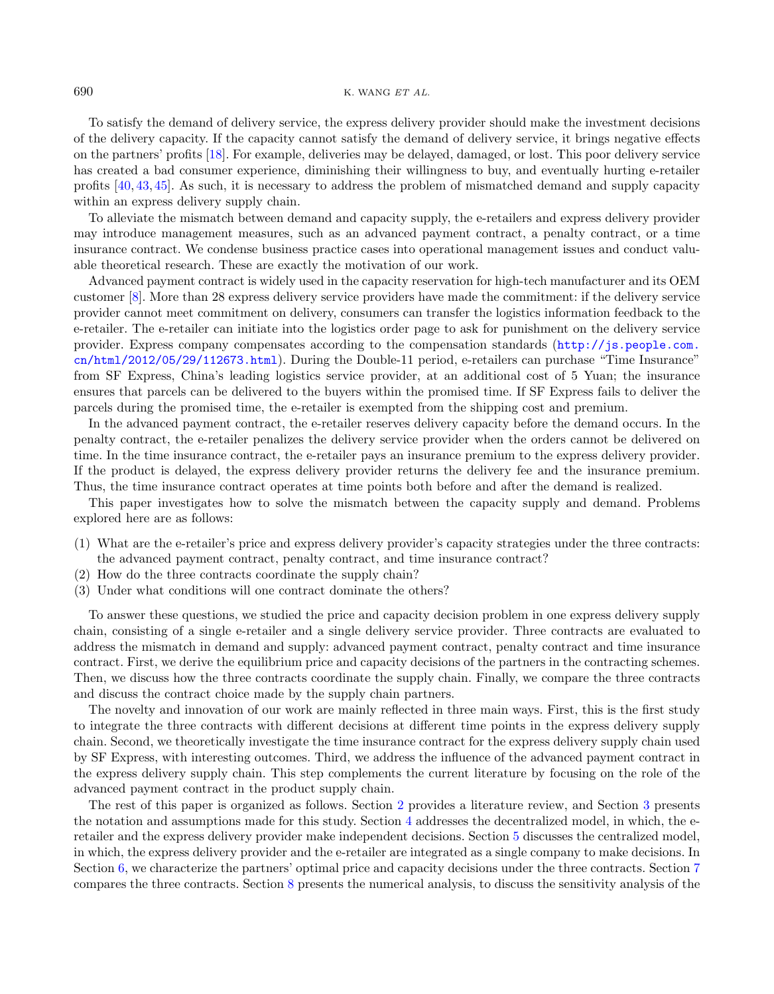#### 690 K. WANG  $ETAL$ .

To satisfy the demand of delivery service, the express delivery provider should make the investment decisions of the delivery capacity. If the capacity cannot satisfy the demand of delivery service, it brings negative effects on the partners' profits [\[18\]](#page-27-2). For example, deliveries may be delayed, damaged, or lost. This poor delivery service has created a bad consumer experience, diminishing their willingness to buy, and eventually hurting e-retailer profits [\[40,](#page-28-0) [43,](#page-28-1) [45\]](#page-28-2). As such, it is necessary to address the problem of mismatched demand and supply capacity within an express delivery supply chain.

To alleviate the mismatch between demand and capacity supply, the e-retailers and express delivery provider may introduce management measures, such as an advanced payment contract, a penalty contract, or a time insurance contract. We condense business practice cases into operational management issues and conduct valuable theoretical research. These are exactly the motivation of our work.

Advanced payment contract is widely used in the capacity reservation for high-tech manufacturer and its OEM customer [\[8\]](#page-27-3). More than 28 express delivery service providers have made the commitment: if the delivery service provider cannot meet commitment on delivery, consumers can transfer the logistics information feedback to the e-retailer. The e-retailer can initiate into the logistics order page to ask for punishment on the delivery service provider. Express company compensates according to the compensation standards ([http://js.people.com.](http://js.people.com.cn/html/2012/05/29/ 112673.html) [cn/html/2012/05/29/112673.html](http://js.people.com.cn/html/2012/05/29/ 112673.html)). During the Double-11 period, e-retailers can purchase "Time Insurance" from SF Express, China's leading logistics service provider, at an additional cost of 5 Yuan; the insurance ensures that parcels can be delivered to the buyers within the promised time. If SF Express fails to deliver the parcels during the promised time, the e-retailer is exempted from the shipping cost and premium.

In the advanced payment contract, the e-retailer reserves delivery capacity before the demand occurs. In the penalty contract, the e-retailer penalizes the delivery service provider when the orders cannot be delivered on time. In the time insurance contract, the e-retailer pays an insurance premium to the express delivery provider. If the product is delayed, the express delivery provider returns the delivery fee and the insurance premium. Thus, the time insurance contract operates at time points both before and after the demand is realized.

This paper investigates how to solve the mismatch between the capacity supply and demand. Problems explored here are as follows:

- (1) What are the e-retailer's price and express delivery provider's capacity strategies under the three contracts: the advanced payment contract, penalty contract, and time insurance contract?
- (2) How do the three contracts coordinate the supply chain?
- (3) Under what conditions will one contract dominate the others?

To answer these questions, we studied the price and capacity decision problem in one express delivery supply chain, consisting of a single e-retailer and a single delivery service provider. Three contracts are evaluated to address the mismatch in demand and supply: advanced payment contract, penalty contract and time insurance contract. First, we derive the equilibrium price and capacity decisions of the partners in the contracting schemes. Then, we discuss how the three contracts coordinate the supply chain. Finally, we compare the three contracts and discuss the contract choice made by the supply chain partners.

The novelty and innovation of our work are mainly reflected in three main ways. First, this is the first study to integrate the three contracts with different decisions at different time points in the express delivery supply chain. Second, we theoretically investigate the time insurance contract for the express delivery supply chain used by SF Express, with interesting outcomes. Third, we address the influence of the advanced payment contract in the express delivery supply chain. This step complements the current literature by focusing on the role of the advanced payment contract in the product supply chain.

The rest of this paper is organized as follows. Section [2](#page-2-0) provides a literature review, and Section [3](#page-3-0) presents the notation and assumptions made for this study. Section [4](#page-4-0) addresses the decentralized model, in which, the eretailer and the express delivery provider make independent decisions. Section [5](#page-5-0) discusses the centralized model, in which, the express delivery provider and the e-retailer are integrated as a single company to make decisions. In Section [6,](#page-6-0) we characterize the partners' optimal price and capacity decisions under the three contracts. Section [7](#page-10-0) compares the three contracts. Section [8](#page-13-0) presents the numerical analysis, to discuss the sensitivity analysis of the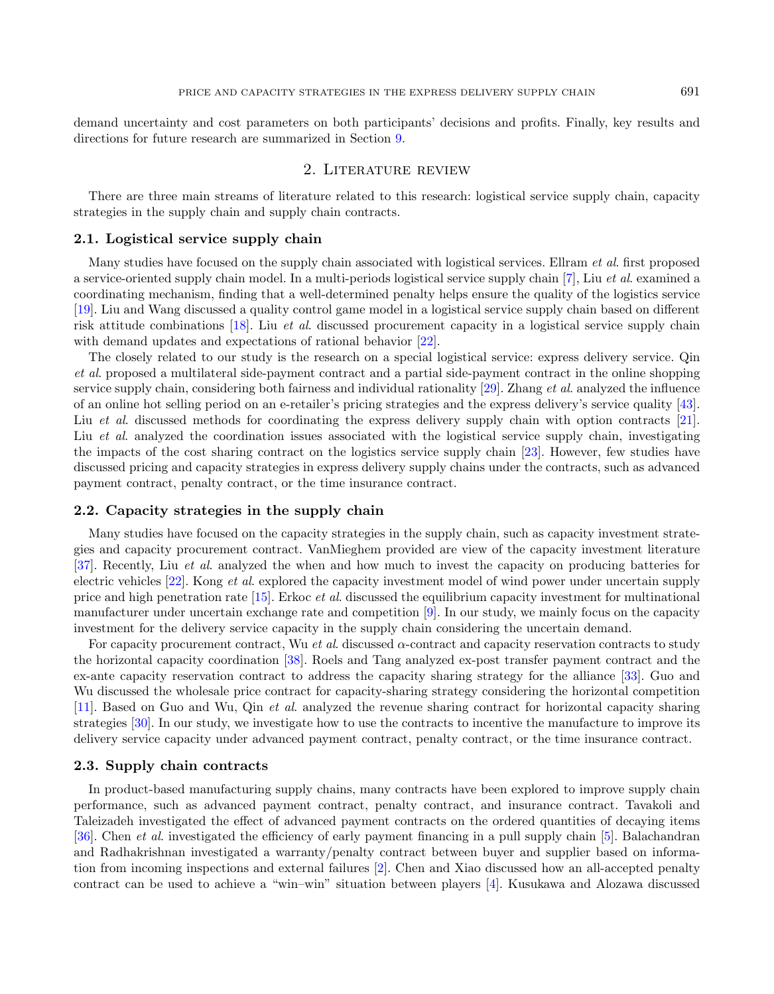demand uncertainty and cost parameters on both participants' decisions and profits. Finally, key results and directions for future research are summarized in Section [9.](#page-14-0)

### 2. Literature review

<span id="page-2-0"></span>There are three main streams of literature related to this research: logistical service supply chain, capacity strategies in the supply chain and supply chain contracts.

### 2.1. Logistical service supply chain

Many studies have focused on the supply chain associated with logistical services. Ellram et al. first proposed a service-oriented supply chain model. In a multi-periods logistical service supply chain [\[7\]](#page-27-4), Liu et al. examined a coordinating mechanism, finding that a well-determined penalty helps ensure the quality of the logistics service [\[19\]](#page-27-5). Liu and Wang discussed a quality control game model in a logistical service supply chain based on different risk attitude combinations [\[18\]](#page-27-2). Liu et al. discussed procurement capacity in a logistical service supply chain with demand updates and expectations of rational behavior [\[22\]](#page-27-6).

The closely related to our study is the research on a special logistical service: express delivery service. Qin et al. proposed a multilateral side-payment contract and a partial side-payment contract in the online shopping service supply chain, considering both fairness and individual rationality  $[29]$ . Zhang *et al.* analyzed the influence of an online hot selling period on an e-retailer's pricing strategies and the express delivery's service quality [\[43\]](#page-28-1). Liu *et al.* discussed methods for coordinating the express delivery supply chain with option contracts [\[21\]](#page-27-7). Liu et al. analyzed the coordination issues associated with the logistical service supply chain, investigating the impacts of the cost sharing contract on the logistics service supply chain [\[23\]](#page-27-8). However, few studies have discussed pricing and capacity strategies in express delivery supply chains under the contracts, such as advanced payment contract, penalty contract, or the time insurance contract.

### 2.2. Capacity strategies in the supply chain

Many studies have focused on the capacity strategies in the supply chain, such as capacity investment strategies and capacity procurement contract. VanMieghem provided are view of the capacity investment literature [\[37\]](#page-28-4). Recently, Liu et al. analyzed the when and how much to invest the capacity on producing batteries for electric vehicles [\[22\]](#page-27-6). Kong et al. explored the capacity investment model of wind power under uncertain supply price and high penetration rate [\[15\]](#page-27-9). Erkoc et al. discussed the equilibrium capacity investment for multinational manufacturer under uncertain exchange rate and competition [\[9\]](#page-27-10). In our study, we mainly focus on the capacity investment for the delivery service capacity in the supply chain considering the uncertain demand.

For capacity procurement contract, Wu et al. discussed  $\alpha$ -contract and capacity reservation contracts to study the horizontal capacity coordination [\[38\]](#page-28-5). Roels and Tang analyzed ex-post transfer payment contract and the ex-ante capacity reservation contract to address the capacity sharing strategy for the alliance [\[33\]](#page-28-6). Guo and Wu discussed the wholesale price contract for capacity-sharing strategy considering the horizontal competition [\[11\]](#page-27-11). Based on Guo and Wu, Qin et al. analyzed the revenue sharing contract for horizontal capacity sharing strategies [\[30\]](#page-28-7). In our study, we investigate how to use the contracts to incentive the manufacture to improve its delivery service capacity under advanced payment contract, penalty contract, or the time insurance contract.

#### 2.3. Supply chain contracts

In product-based manufacturing supply chains, many contracts have been explored to improve supply chain performance, such as advanced payment contract, penalty contract, and insurance contract. Tavakoli and Taleizadeh investigated the effect of advanced payment contracts on the ordered quantities of decaying items [\[36\]](#page-28-8). Chen et al. investigated the efficiency of early payment financing in a pull supply chain [\[5\]](#page-27-12). Balachandran and Radhakrishnan investigated a warranty/penalty contract between buyer and supplier based on information from incoming inspections and external failures [\[2\]](#page-27-13). Chen and Xiao discussed how an all-accepted penalty contract can be used to achieve a "win–win" situation between players [\[4\]](#page-27-14). Kusukawa and Alozawa discussed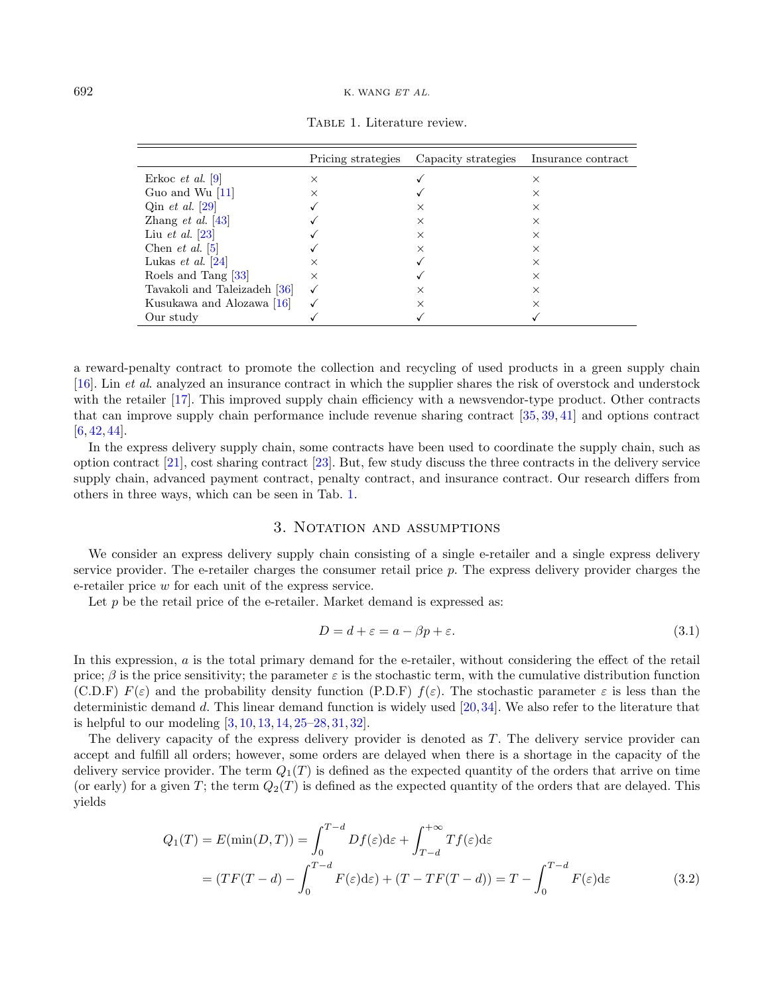|                                       | Pricing strategies | Capacity strategies | Insurance contract |
|---------------------------------------|--------------------|---------------------|--------------------|
| Erkoc <i>et al.</i> $ 9 $             | $\times$           |                     | $\times$           |
| Guo and Wu $ 11 $                     | X                  |                     | $\times$           |
| Qin <i>et al.</i> [29]                |                    | $\times$            | $\times$           |
| Zhang <i>et al.</i> $ 43 $            |                    | $\times$            | X                  |
| Liu et al. $[23]$                     |                    | $\times$            | $\times$           |
| Chen <i>et al.</i> $ 5 $              |                    | $\times$            | $\times$           |
| Lukas <i>et al.</i> $\left 24\right $ | $\times$           |                     | $\times$           |
| Roels and Tang [33]                   | $\times$           |                     | $\times$           |
| Tavakoli and Taleizadeh [36]          |                    | $\times$            | $\times$           |
| Kusukawa and Alozawa [16]             |                    | $\times$            | $\times$           |
| Our study                             |                    |                     |                    |

<span id="page-3-1"></span>Table 1. Literature review.

a reward-penalty contract to promote the collection and recycling of used products in a green supply chain [\[16\]](#page-27-16). Lin et al. analyzed an insurance contract in which the supplier shares the risk of overstock and understock with the retailer [\[17\]](#page-27-17). This improved supply chain efficiency with a newsvendor-type product. Other contracts that can improve supply chain performance include revenue sharing contract [\[35,](#page-28-9) [39,](#page-28-10) [41\]](#page-28-11) and options contract  $[6, 42, 44]$  $[6, 42, 44]$  $[6, 42, 44]$  $[6, 42, 44]$  $[6, 42, 44]$ .

In the express delivery supply chain, some contracts have been used to coordinate the supply chain, such as option contract [\[21\]](#page-27-7), cost sharing contract [\[23\]](#page-27-8). But, few study discuss the three contracts in the delivery service supply chain, advanced payment contract, penalty contract, and insurance contract. Our research differs from others in three ways, which can be seen in Tab. [1.](#page-3-1)

### 3. Notation and assumptions

<span id="page-3-0"></span>We consider an express delivery supply chain consisting of a single e-retailer and a single express delivery service provider. The e-retailer charges the consumer retail price  $p$ . The express delivery provider charges the e-retailer price w for each unit of the express service.

Let  $p$  be the retail price of the e-retailer. Market demand is expressed as:

$$
D = d + \varepsilon = a - \beta p + \varepsilon. \tag{3.1}
$$

In this expression, a is the total primary demand for the e-retailer, without considering the effect of the retail price;  $\beta$  is the price sensitivity; the parameter  $\varepsilon$  is the stochastic term, with the cumulative distribution function (C.D.F)  $F(\varepsilon)$  and the probability density function (P.D.F)  $f(\varepsilon)$ . The stochastic parameter  $\varepsilon$  is less than the deterministic demand d. This linear demand function is widely used  $[20,34]$  $[20,34]$ . We also refer to the literature that is helpful to our modeling [\[3,](#page-27-20) [10,](#page-27-21) [13,](#page-27-22) [14,](#page-27-23) [25](#page-28-15)[–28,](#page-28-16) [31,](#page-28-17) [32\]](#page-28-18).

The delivery capacity of the express delivery provider is denoted as T. The delivery service provider can accept and fulfill all orders; however, some orders are delayed when there is a shortage in the capacity of the delivery service provider. The term  $Q_1(T)$  is defined as the expected quantity of the orders that arrive on time (or early) for a given T; the term  $Q_2(T)$  is defined as the expected quantity of the orders that are delayed. This yields

$$
Q_1(T) = E(\min(D, T)) = \int_0^{T-d} Df(\varepsilon)d\varepsilon + \int_{T-d}^{+\infty} Tf(\varepsilon)d\varepsilon
$$
  
= 
$$
(TF(T-d) - \int_0^{T-d} F(\varepsilon)d\varepsilon) + (T - TF(T-d)) = T - \int_0^{T-d} F(\varepsilon)d\varepsilon
$$
(3.2)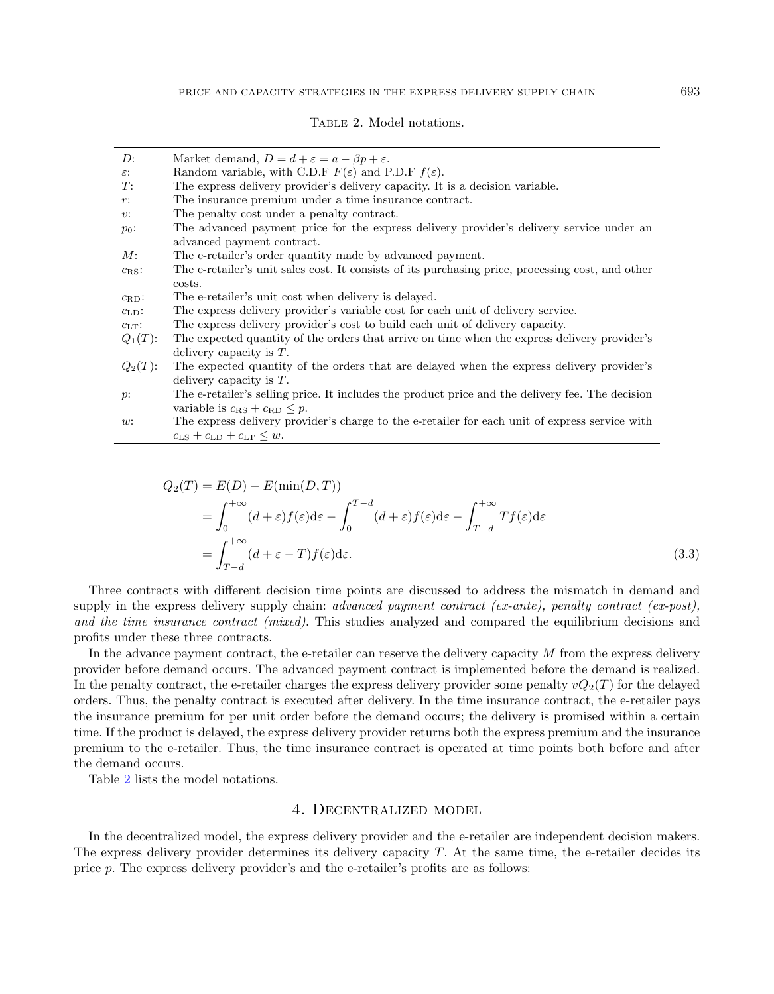<span id="page-4-1"></span>

| D:                | Market demand, $D = d + \varepsilon = a - \beta p + \varepsilon$ .                                |
|-------------------|---------------------------------------------------------------------------------------------------|
| $\varepsilon$ :   | Random variable, with C.D.F $F(\varepsilon)$ and P.D.F $f(\varepsilon)$ .                         |
| T:                | The express delivery provider's delivery capacity. It is a decision variable.                     |
| $r$ :             | The insurance premium under a time insurance contract.                                            |
| v:                | The penalty cost under a penalty contract.                                                        |
| $p_0$ :           | The advanced payment price for the express delivery provider's delivery service under an          |
|                   | advanced payment contract.                                                                        |
| M:                | The e-retailer's order quantity made by advanced payment.                                         |
| $c_{\text{RS}}$ : | The e-retailer's unit sales cost. It consists of its purchasing price, processing cost, and other |
|                   | costs.                                                                                            |
| $c_{\rm RD}$ :    | The e-retailer's unit cost when delivery is delayed.                                              |
| $c_{LD}$ :        | The express delivery provider's variable cost for each unit of delivery service.                  |
| $c_{LT}$ :        | The express delivery provider's cost to build each unit of delivery capacity.                     |
| $Q_1(T)$ :        | The expected quantity of the orders that arrive on time when the express delivery provider's      |
|                   | delivery capacity is $T$ .                                                                        |
| $Q_2(T)$ :        | The expected quantity of the orders that are delayed when the express delivery provider's         |
|                   | delivery capacity is $T$ .                                                                        |
| $p$ :             | The e-retailer's selling price. It includes the product price and the delivery fee. The decision  |
|                   | variable is $c_{\rm RS} + c_{\rm RD} \leq p$ .                                                    |
| w:                | The express delivery provider's charge to the e-retailer for each unit of express service with    |
|                   | $c_{\text{LS}} + c_{\text{LD}} + c_{\text{LT}} \leq w.$                                           |

$$
Q_2(T) = E(D) - E(\min(D, T))
$$
  
=  $\int_0^{+\infty} (d + \varepsilon) f(\varepsilon) d\varepsilon - \int_0^{T-d} (d + \varepsilon) f(\varepsilon) d\varepsilon - \int_{T-d}^{+\infty} Tf(\varepsilon) d\varepsilon$   
=  $\int_{T-d}^{+\infty} (d + \varepsilon - T) f(\varepsilon) d\varepsilon$ . (3.3)

Three contracts with different decision time points are discussed to address the mismatch in demand and supply in the express delivery supply chain: *advanced payment contract (ex-ante)*, penalty contract (ex-post), and the time insurance contract (mixed). This studies analyzed and compared the equilibrium decisions and profits under these three contracts.

In the advance payment contract, the e-retailer can reserve the delivery capacity  $M$  from the express delivery provider before demand occurs. The advanced payment contract is implemented before the demand is realized. In the penalty contract, the e-retailer charges the express delivery provider some penalty  $vQ_2(T)$  for the delayed orders. Thus, the penalty contract is executed after delivery. In the time insurance contract, the e-retailer pays the insurance premium for per unit order before the demand occurs; the delivery is promised within a certain time. If the product is delayed, the express delivery provider returns both the express premium and the insurance premium to the e-retailer. Thus, the time insurance contract is operated at time points both before and after the demand occurs.

<span id="page-4-0"></span>Table [2](#page-4-1) lists the model notations.

# 4. Decentralized model

In the decentralized model, the express delivery provider and the e-retailer are independent decision makers. The express delivery provider determines its delivery capacity  $T$ . At the same time, the e-retailer decides its price p. The express delivery provider's and the e-retailer's profits are as follows: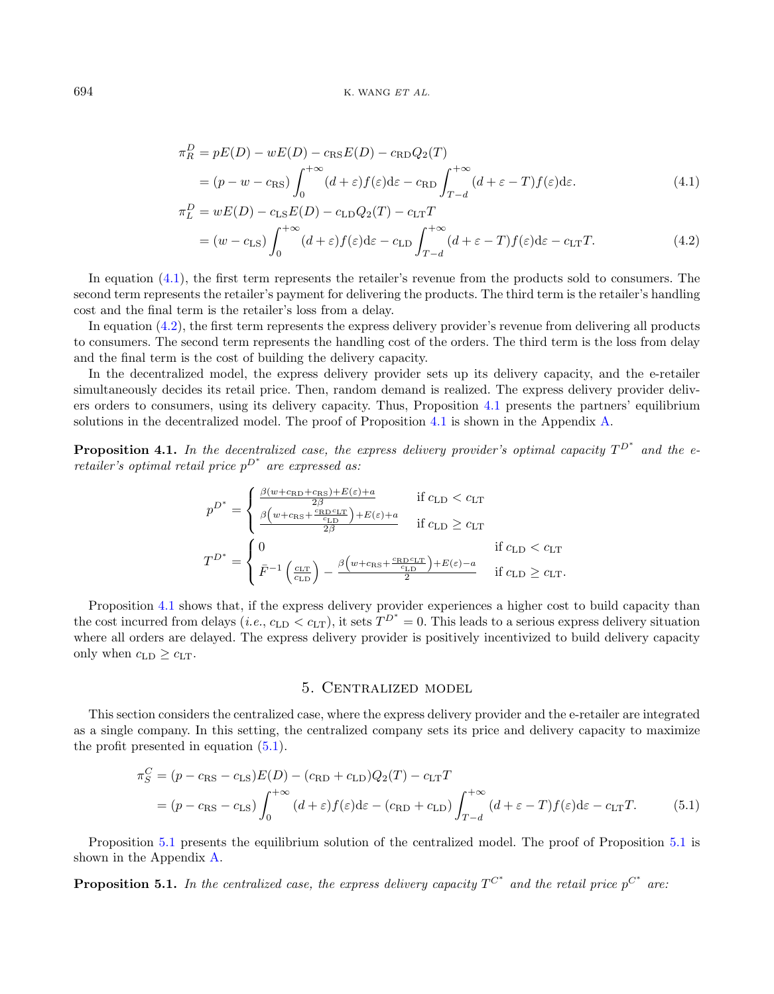<span id="page-5-2"></span><span id="page-5-1"></span>
$$
\pi_R^D = pE(D) - wE(D) - c_{\text{RS}}E(D) - c_{\text{RD}}Q_2(T)
$$
  
=  $(p - w - c_{\text{RS}}) \int_0^{+\infty} (d + \varepsilon) f(\varepsilon) d\varepsilon - c_{\text{RD}} \int_{T-d}^{+\infty} (d + \varepsilon - T) f(\varepsilon) d\varepsilon.$  (4.1)

$$
\pi_L^D = wE(D) - c_{\text{LS}}E(D) - c_{\text{LD}}Q_2(T) - c_{\text{LT}}T
$$
  
=  $(w - c_{\text{LS}})\int_0^{+\infty} (d+\varepsilon)f(\varepsilon)d\varepsilon - c_{\text{LD}}\int_{T-d}^{+\infty} (d+\varepsilon - T)f(\varepsilon)d\varepsilon - c_{\text{LT}}T.$  (4.2)

In equation [\(4.1\)](#page-5-1), the first term represents the retailer's revenue from the products sold to consumers. The second term represents the retailer's payment for delivering the products. The third term is the retailer's handling cost and the final term is the retailer's loss from a delay.

In equation [\(4.2\)](#page-5-2), the first term represents the express delivery provider's revenue from delivering all products to consumers. The second term represents the handling cost of the orders. The third term is the loss from delay and the final term is the cost of building the delivery capacity.

In the decentralized model, the express delivery provider sets up its delivery capacity, and the e-retailer simultaneously decides its retail price. Then, random demand is realized. The express delivery provider delivers orders to consumers, using its delivery capacity. Thus, Proposition [4.1](#page-5-3) presents the partners' equilibrium solutions in the decentralized model. The proof of Proposition [4.1](#page-5-3) is shown in the Appendix [A.](#page-19-0)

<span id="page-5-3"></span>**Proposition 4.1.** In the decentralized case, the express delivery provider's optimal capacity  $T^{D^*}$  and the e- $\emph{retailer's optimal retail price $p^{D^*}$ are expressed as:}$ 

$$
p^{D^*} = \begin{cases} \frac{\beta(w + c_{\text{RD}} + c_{\text{RS}}) + E(\varepsilon) + a}{2\beta} & \text{if } c_{\text{LD}} < c_{\text{LT}}\\ \frac{\beta(w + c_{\text{RS}} + \frac{c_{\text{RD}}c_{\text{LT}}}{c_{\text{LD}}}) + E(\varepsilon) + a}{2\beta} & \text{if } c_{\text{LD}} \ge c_{\text{LT}} \end{cases}
$$

$$
T^{D^*} = \begin{cases} 0 & \text{if } c_{\text{LD}} < c_{\text{LT}}\\ \bar{F}^{-1}\left(\frac{c_{\text{LT}}}{c_{\text{LD}}}\right) - \frac{\beta(w + c_{\text{RS}} + \frac{c_{\text{RD}}c_{\text{LT}}}{c_{\text{LD}}}) + E(\varepsilon) - a}{2} & \text{if } c_{\text{LD}} \ge c_{\text{LT}}.\end{cases}
$$

Proposition [4.1](#page-5-3) shows that, if the express delivery provider experiences a higher cost to build capacity than the cost incurred from delays (*i.e.*,  $c_{\text{LD}} < c_{\text{LT}}$ ), it sets  $T^{D^*} = 0$ . This leads to a serious express delivery situation where all orders are delayed. The express delivery provider is positively incentivized to build delivery capacity only when  $c_{\text{LD}} \geq c_{\text{LT}}$ .

#### <span id="page-5-5"></span><span id="page-5-4"></span>5. Centralized model

<span id="page-5-0"></span>This section considers the centralized case, where the express delivery provider and the e-retailer are integrated as a single company. In this setting, the centralized company sets its price and delivery capacity to maximize the profit presented in equation [\(5.1\)](#page-5-4).

$$
\pi_S^C = (p - c_{\rm RS} - c_{\rm LS})E(D) - (c_{\rm RD} + c_{\rm LD})Q_2(T) - c_{\rm LT}T
$$
  
=  $(p - c_{\rm RS} - c_{\rm LS})\int_0^{+\infty} (d + \varepsilon)f(\varepsilon)d\varepsilon - (c_{\rm RD} + c_{\rm LD})\int_{T-d}^{+\infty} (d + \varepsilon - T)f(\varepsilon)d\varepsilon - c_{\rm LT}T.$  (5.1)

Proposition [5.1](#page-5-5) presents the equilibrium solution of the centralized model. The proof of Proposition [5.1](#page-5-5) is shown in the Appendix [A.](#page-19-0)

**Proposition 5.1.** In the centralized case, the express delivery capacity  $T^{C^*}$  and the retail price  $p^{C^*}$  are: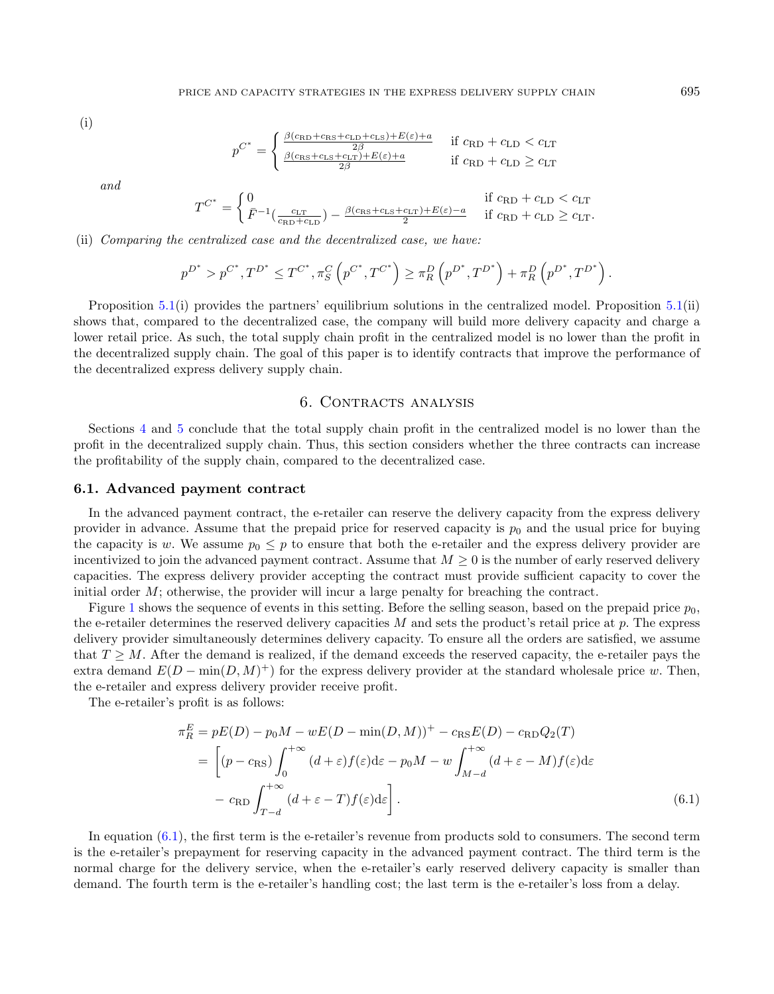(i)

$$
p^{C^*} = \begin{cases} \frac{\beta(c_{\text{RD}} + c_{\text{RS}} + c_{\text{LD}} + c_{\text{LS}}) + E(\varepsilon) + a}{2\beta} & \text{if } c_{\text{RD}} + c_{\text{LD}} < c_{\text{LT}}\\ \frac{\beta(c_{\text{RS}} + c_{\text{LS}} + c_{\text{LT}}) + E(\varepsilon) + a}{2\beta} & \text{if } c_{\text{RD}} + c_{\text{LD}} \ge c_{\text{LT}} \end{cases}
$$

and

$$
T^{C^*} = \begin{cases} 0 & \text{if } c_{\text{RD}} + c_{\text{LD}} < c_{\text{LT}} \\ \bar{F}^{-1}(\frac{c_{\text{LT}}}{c_{\text{RD}} + c_{\text{LD}}}) - \frac{\beta(c_{\text{RS}} + c_{\text{LS}} + c_{\text{LT}}) + E(\varepsilon) - a}{2} & \text{if } c_{\text{RD}} + c_{\text{LD}} \ge c_{\text{LT}}. \end{cases}
$$

(ii) Comparing the centralized case and the decentralized case, we have:

$$
p^{D^*} > p^{C^*}, T^{D^*} \le T^{C^*}, \pi_S^C \left( p^{C^*}, T^{C^*} \right) \ge \pi_R^D \left( p^{D^*}, T^{D^*} \right) + \pi_R^D \left( p^{D^*}, T^{D^*} \right).
$$

Proposition [5.1\(](#page-5-5)i) provides the partners' equilibrium solutions in the centralized model. Proposition [5.1\(](#page-5-5)ii) shows that, compared to the decentralized case, the company will build more delivery capacity and charge a lower retail price. As such, the total supply chain profit in the centralized model is no lower than the profit in the decentralized supply chain. The goal of this paper is to identify contracts that improve the performance of the decentralized express delivery supply chain.

### <span id="page-6-1"></span>6. CONTRACTS ANALYSIS

<span id="page-6-0"></span>Sections [4](#page-4-0) and [5](#page-5-0) conclude that the total supply chain profit in the centralized model is no lower than the profit in the decentralized supply chain. Thus, this section considers whether the three contracts can increase the profitability of the supply chain, compared to the decentralized case.

#### 6.1. Advanced payment contract

In the advanced payment contract, the e-retailer can reserve the delivery capacity from the express delivery provider in advance. Assume that the prepaid price for reserved capacity is  $p_0$  and the usual price for buying the capacity is w. We assume  $p_0 \leq p$  to ensure that both the e-retailer and the express delivery provider are incentivized to join the advanced payment contract. Assume that  $M \geq 0$  is the number of early reserved delivery capacities. The express delivery provider accepting the contract must provide sufficient capacity to cover the initial order  $M$ ; otherwise, the provider will incur a large penalty for breaching the contract.

Figure [1](#page-7-0) shows the sequence of events in this setting. Before the selling season, based on the prepaid price  $p_0$ , the e-retailer determines the reserved delivery capacities  $M$  and sets the product's retail price at  $p$ . The express delivery provider simultaneously determines delivery capacity. To ensure all the orders are satisfied, we assume that  $T \geq M$ . After the demand is realized, if the demand exceeds the reserved capacity, the e-retailer pays the extra demand  $E(D - \min(D, M)^+)$  for the express delivery provider at the standard wholesale price w. Then, the e-retailer and express delivery provider receive profit.

The e-retailer's profit is as follows:

$$
\pi_R^E = pE(D) - p_0 M - wE(D - \min(D, M))^+ - c_{\text{RS}}E(D) - c_{\text{RD}}Q_2(T)
$$
  
= 
$$
\left[ (p - c_{\text{RS}}) \int_0^{+\infty} (d + \varepsilon) f(\varepsilon) d\varepsilon - p_0 M - w \int_{M-d}^{+\infty} (d + \varepsilon - M) f(\varepsilon) d\varepsilon - c_{\text{RD}} \int_{T-d}^{+\infty} (d + \varepsilon - T) f(\varepsilon) d\varepsilon \right].
$$
 (6.1)

In equation [\(6.1\)](#page-6-1), the first term is the e-retailer's revenue from products sold to consumers. The second term is the e-retailer's prepayment for reserving capacity in the advanced payment contract. The third term is the normal charge for the delivery service, when the e-retailer's early reserved delivery capacity is smaller than demand. The fourth term is the e-retailer's handling cost; the last term is the e-retailer's loss from a delay.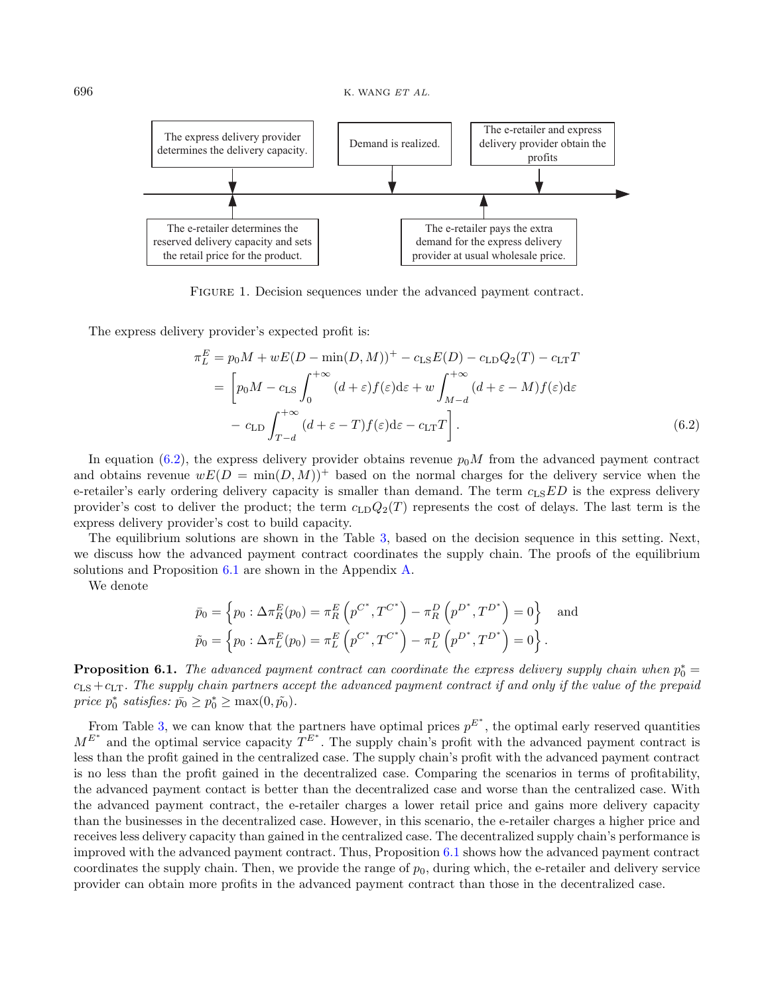<span id="page-7-0"></span>

<span id="page-7-1"></span>FIGURE 1. Decision sequences under the advanced payment contract.

The express delivery provider's expected profit is:

$$
\pi_L^E = p_0 M + wE(D - \min(D, M))^+ - c_{\text{LS}}E(D) - c_{\text{LD}}Q_2(T) - c_{\text{LT}}T
$$
  
= 
$$
\left[ p_0 M - c_{\text{LS}} \int_0^{+\infty} (d + \varepsilon) f(\varepsilon) d\varepsilon + w \int_{M-d}^{+\infty} (d + \varepsilon - M) f(\varepsilon) d\varepsilon - c_{\text{LT}}T \right]
$$
  
- 
$$
c_{\text{LD}} \int_{T-d}^{+\infty} (d + \varepsilon - T) f(\varepsilon) d\varepsilon - c_{\text{LT}}T \right].
$$
 (6.2)

In equation [\(6.2\)](#page-7-1), the express delivery provider obtains revenue  $p_0M$  from the advanced payment contract and obtains revenue  $wE(D = \min(D, M))^+$  based on the normal charges for the delivery service when the e-retailer's early ordering delivery capacity is smaller than demand. The term  $c_{\text{LS}}ED$  is the express delivery provider's cost to deliver the product; the term  $c_{\text{LD}}Q_2(T)$  represents the cost of delays. The last term is the express delivery provider's cost to build capacity.

The equilibrium solutions are shown in the Table [3,](#page-12-0) based on the decision sequence in this setting. Next, we discuss how the advanced payment contract coordinates the supply chain. The proofs of the equilibrium solutions and Proposition [6.1](#page-7-2) are shown in the Appendix [A.](#page-19-0)

We denote

$$
\bar{p}_0 = \left\{ p_0 : \Delta \pi_R^E(p_0) = \pi_R^E \left( p^{C^*}, T^{C^*} \right) - \pi_R^D \left( p^{D^*}, T^{D^*} \right) = 0 \right\} \text{ and}
$$
  

$$
\tilde{p}_0 = \left\{ p_0 : \Delta \pi_L^E(p_0) = \pi_L^E \left( p^{C^*}, T^{C^*} \right) - \pi_L^D \left( p^{D^*}, T^{D^*} \right) = 0 \right\}.
$$

<span id="page-7-2"></span>**Proposition 6.1.** The advanced payment contract can coordinate the express delivery supply chain when  $p_0^* =$  $c_{LS} + c_{LT}$ . The supply chain partners accept the advanced payment contract if and only if the value of the prepaid price  $p_0^*$  satisfies:  $\bar{p_0} \ge p_0^* \ge \max(0, \tilde{p_0})$ .

From Table [3,](#page-12-0) we can know that the partners have optimal prices  $p^{E^*}$ , the optimal early reserved quantities  $M^{E^*}$  and the optimal service capacity  $T^{E^*}$ . The supply chain's profit with the advanced payment contract is less than the profit gained in the centralized case. The supply chain's profit with the advanced payment contract is no less than the profit gained in the decentralized case. Comparing the scenarios in terms of profitability, the advanced payment contact is better than the decentralized case and worse than the centralized case. With the advanced payment contract, the e-retailer charges a lower retail price and gains more delivery capacity than the businesses in the decentralized case. However, in this scenario, the e-retailer charges a higher price and receives less delivery capacity than gained in the centralized case. The decentralized supply chain's performance is improved with the advanced payment contract. Thus, Proposition [6.1](#page-7-2) shows how the advanced payment contract coordinates the supply chain. Then, we provide the range of  $p<sub>0</sub>$ , during which, the e-retailer and delivery service provider can obtain more profits in the advanced payment contract than those in the decentralized case.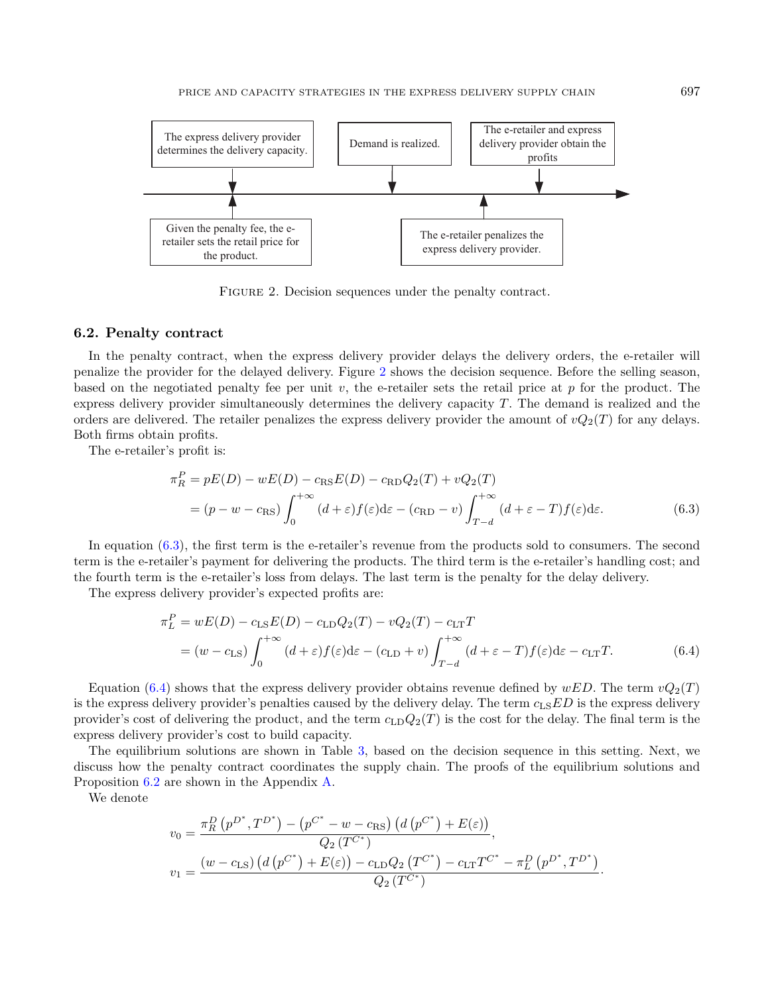<span id="page-8-0"></span>

<span id="page-8-2"></span><span id="page-8-1"></span>FIGURE 2. Decision sequences under the penalty contract.

#### 6.2. Penalty contract

In the penalty contract, when the express delivery provider delays the delivery orders, the e-retailer will penalize the provider for the delayed delivery. Figure [2](#page-8-0) shows the decision sequence. Before the selling season, based on the negotiated penalty fee per unit v, the e-retailer sets the retail price at  $p$  for the product. The express delivery provider simultaneously determines the delivery capacity  $T$ . The demand is realized and the orders are delivered. The retailer penalizes the express delivery provider the amount of  $vQ_2(T)$  for any delays. Both firms obtain profits.

The e-retailer's profit is:

$$
\pi_R^P = pE(D) - wE(D) - c_{\text{RS}}E(D) - c_{\text{RD}}Q_2(T) + vQ_2(T)
$$
  
=  $(p - w - c_{\text{RS}}) \int_0^{+\infty} (d + \varepsilon) f(\varepsilon) d\varepsilon - (c_{\text{RD}} - v) \int_{T-d}^{+\infty} (d + \varepsilon - T) f(\varepsilon) d\varepsilon.$  (6.3)

In equation [\(6.3\)](#page-8-1), the first term is the e-retailer's revenue from the products sold to consumers. The second term is the e-retailer's payment for delivering the products. The third term is the e-retailer's handling cost; and the fourth term is the e-retailer's loss from delays. The last term is the penalty for the delay delivery.

The express delivery provider's expected profits are:

$$
\pi_L^P = wE(D) - c_{LS}E(D) - c_{LD}Q_2(T) - vQ_2(T) - c_{LT}T
$$
  
=  $(w - c_{LS}) \int_0^{+\infty} (d + \varepsilon) f(\varepsilon) d\varepsilon - (c_{LD} + v) \int_{T-d}^{+\infty} (d + \varepsilon - T) f(\varepsilon) d\varepsilon - c_{LT}T.$  (6.4)

Equation [\(6.4\)](#page-8-2) shows that the express delivery provider obtains revenue defined by  $wED$ . The term  $vQ_2(T)$ is the express delivery provider's penalties caused by the delivery delay. The term  $c_{\text{LS}}ED$  is the express delivery provider's cost of delivering the product, and the term  $c_{\text{LD}}Q_2(T)$  is the cost for the delay. The final term is the express delivery provider's cost to build capacity.

The equilibrium solutions are shown in Table [3,](#page-12-0) based on the decision sequence in this setting. Next, we discuss how the penalty contract coordinates the supply chain. The proofs of the equilibrium solutions and Proposition [6.2](#page-8-3) are shown in the Appendix [A.](#page-19-0)

<span id="page-8-3"></span>We denote

$$
v_0 = \frac{\pi_R^D (p^{D^*}, T^{D^*}) - (p^{C^*} - w - c_{RS}) (d (p^{C^*}) + E(\varepsilon))}{Q_2 (T^{C^*})},
$$
  

$$
v_1 = \frac{(w - c_{LS}) (d (p^{C^*}) + E(\varepsilon)) - c_{LD} Q_2 (T^{C^*}) - c_{LT} T^{C^*} - \pi_L^D (p^{D^*}, T^{D^*})}{Q_2 (T^{C^*})}.
$$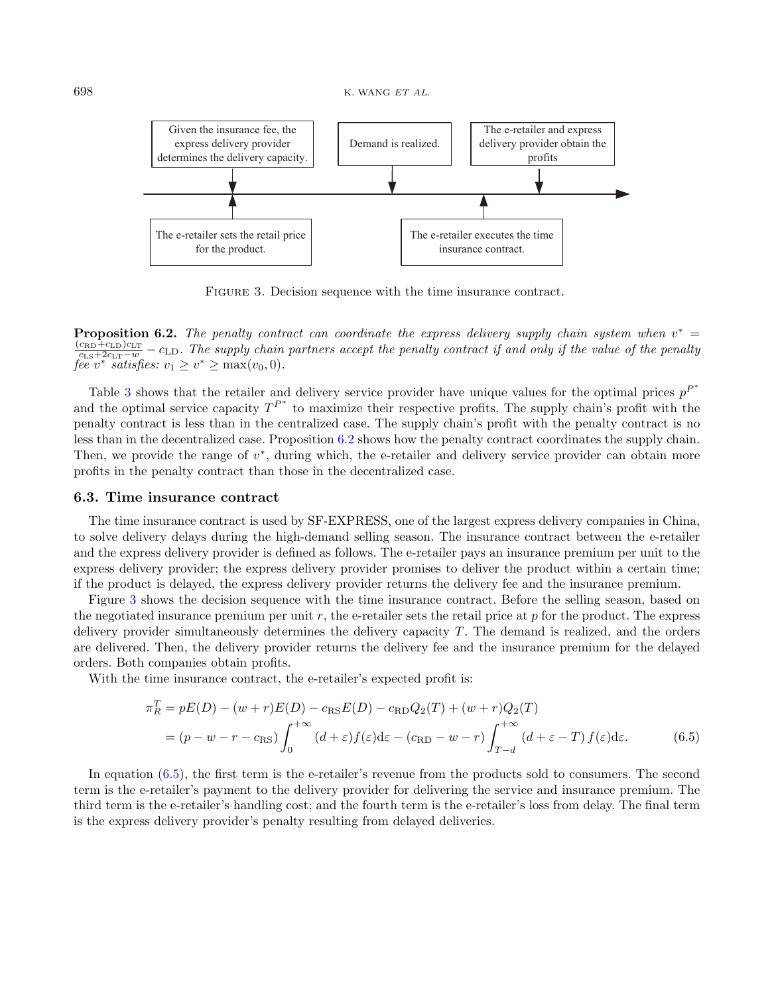<span id="page-9-0"></span>

<span id="page-9-1"></span>FIGURE 3. Decision sequence with the time insurance contract.

**Proposition 6.2.** The penalty contract can coordinate the express delivery supply chain system when  $v^* =$  $\frac{(c_{\text{RD}}+c_{\text{LD}})c_{\text{LT}}}{c_{\text{LS}}+2c_{\text{LT}}-w}$  –  $c_{\text{LD}}$ . The supply chain partners accept the penalty contract if and only if the value of the penalty fee v<sup>\*</sup> satisfies:  $v_1 \geq v^* \geq \max(v_0, 0)$ .

Table [3](#page-12-0) shows that the retailer and delivery service provider have unique values for the optimal prices  $p^{P^*}$ and the optimal service capacity  $T^{P^*}$  to maximize their respective profits. The supply chain's profit with the penalty contract is less than in the centralized case. The supply chain's profit with the penalty contract is no less than in the decentralized case. Proposition [6.2](#page-8-3) shows how the penalty contract coordinates the supply chain. Then, we provide the range of  $v^*$ , during which, the e-retailer and delivery service provider can obtain more profits in the penalty contract than those in the decentralized case.

#### 6.3. Time insurance contract

The time insurance contract is used by SF-EXPRESS, one of the largest express delivery companies in China, to solve delivery delays during the high-demand selling season. The insurance contract between the e-retailer and the express delivery provider is defined as follows. The e-retailer pays an insurance premium per unit to the express delivery provider; the express delivery provider promises to deliver the product within a certain time; if the product is delayed, the express delivery provider returns the delivery fee and the insurance premium.

Figure [3](#page-9-0) shows the decision sequence with the time insurance contract. Before the selling season, based on the negotiated insurance premium per unit r, the e-retailer sets the retail price at  $p$  for the product. The express delivery provider simultaneously determines the delivery capacity T. The demand is realized, and the orders are delivered. Then, the delivery provider returns the delivery fee and the insurance premium for the delayed orders. Both companies obtain profits.

With the time insurance contract, the e-retailer's expected profit is:

$$
\pi_R^T = pE(D) - (w+r)E(D) - c_{\text{RS}}E(D) - c_{\text{RD}}Q_2(T) + (w+r)Q_2(T)
$$
  
=  $(p - w - r - c_{\text{RS}}) \int_0^{+\infty} (d+\varepsilon)f(\varepsilon)d\varepsilon - (c_{\text{RD}} - w - r) \int_{T-d}^{+\infty} (d+\varepsilon - T) f(\varepsilon)d\varepsilon.$  (6.5)

In equation [\(6.5\)](#page-9-1), the first term is the e-retailer's revenue from the products sold to consumers. The second term is the e-retailer's payment to the delivery provider for delivering the service and insurance premium. The third term is the e-retailer's handling cost; and the fourth term is the e-retailer's loss from delay. The final term is the express delivery provider's penalty resulting from delayed deliveries.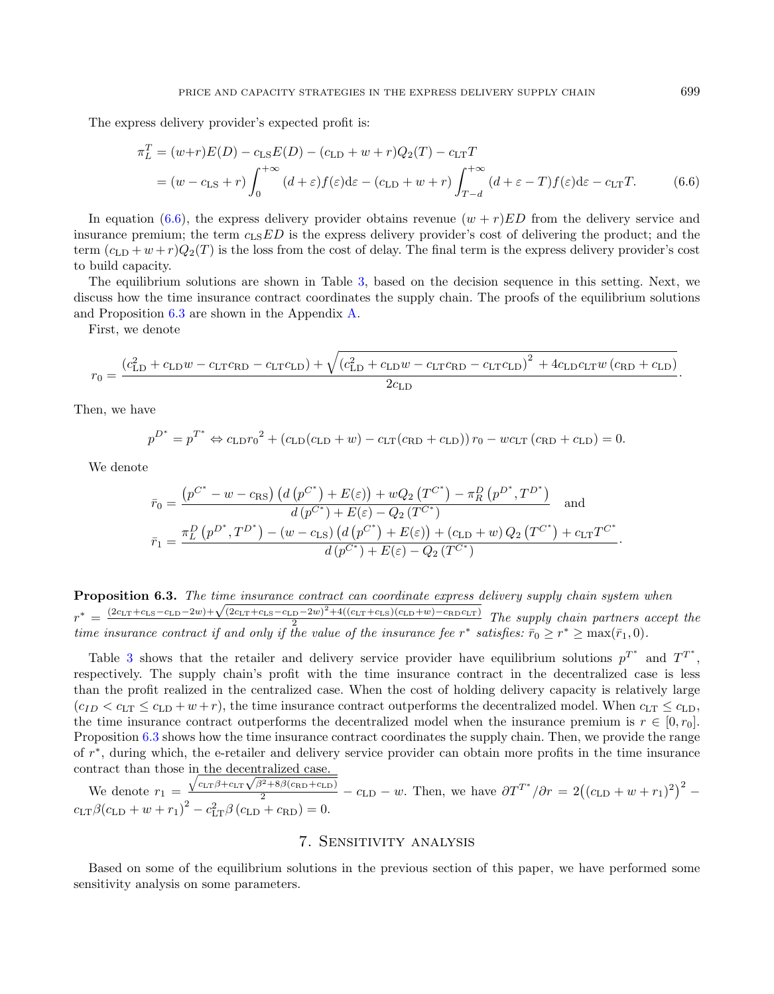The express delivery provider's expected profit is:

<span id="page-10-1"></span>
$$
\pi_L^T = (w+r)E(D) - c_{\text{LS}}E(D) - (c_{\text{LD}} + w + r)Q_2(T) - c_{\text{LT}}T
$$
  
=  $(w - c_{\text{LS}} + r)\int_0^{+\infty} (d+\varepsilon)f(\varepsilon)d\varepsilon - (c_{\text{LD}} + w + r)\int_{T-d}^{+\infty} (d+\varepsilon - T)f(\varepsilon)d\varepsilon - c_{\text{LT}}T.$  (6.6)

In equation [\(6.6\)](#page-10-1), the express delivery provider obtains revenue  $(w + r)ED$  from the delivery service and insurance premium; the term  $c_{LS}ED$  is the express delivery provider's cost of delivering the product; and the term  $(c_{\text{LD}}+w+r)Q_2(T)$  is the loss from the cost of delay. The final term is the express delivery provider's cost to build capacity.

The equilibrium solutions are shown in Table [3,](#page-12-0) based on the decision sequence in this setting. Next, we discuss how the time insurance contract coordinates the supply chain. The proofs of the equilibrium solutions and Proposition [6.3](#page-10-2) are shown in the Appendix [A.](#page-19-0)

First, we denote

$$
r_0 = \frac{\left(c_{\text{LD}}^2 + c_{\text{LD}}w - c_{\text{LT}}c_{\text{RD}} - c_{\text{LT}}c_{\text{LD}}\right) + \sqrt{\left(c_{\text{LD}}^2 + c_{\text{LD}}w - c_{\text{LT}}c_{\text{RD}} - c_{\text{LT}}c_{\text{LD}}\right)^2 + 4c_{\text{LD}}c_{\text{LT}}w\left(c_{\text{RD}} + c_{\text{LD}}\right)}}{2c_{\text{LD}}}.
$$

<span id="page-10-2"></span>Then, we have

$$
p^{D^*} = p^{T^*} \Leftrightarrow c_{\text{LD}} r_0^2 + (c_{\text{LD}}(c_{\text{LD}} + w) - c_{\text{LT}}(c_{\text{RD}} + c_{\text{LD}})) r_0 - w c_{\text{LT}} (c_{\text{RD}} + c_{\text{LD}}) = 0.
$$

We denote

$$
\bar{r}_0 = \frac{(p^{C^*} - w - c_{\text{RS}}) (d (p^{C^*}) + E(\varepsilon)) + wQ_2 (T^{C^*}) - \pi_R^D (p^{D^*}, T^{D^*})}{d (p^{C^*}) + E(\varepsilon) - Q_2 (T^{C^*})} \text{ and}
$$
\n
$$
\bar{r}_1 = \frac{\pi_L^D (p^{D^*}, T^{D^*}) - (w - c_{\text{LS}}) (d (p^{C^*}) + E(\varepsilon)) + (c_{\text{LD}} + w) Q_2 (T^{C^*}) + c_{\text{LT}} T^{C^*}}{d (p^{C^*}) + E(\varepsilon) - Q_2 (T^{C^*})}.
$$

**Proposition 6.3.** The time insurance contract can coordinate express delivery supply chain system when **• \*** =  $\frac{(2c_{\text{LT}}+c_{\text{LS}}-c_{\text{LD}}-2w)+\sqrt{(2c_{\text{LT}}+c_{\text{LS}}-c_{\text{LD}}-2w)^2+4((c_{\text{LT}}+c_{\text{LS}})(c_{\text{LD}}+w)-c_{\text{RD}}c_{\text{LT}})}}{2}$  The supply chain partners accept the time insurance contract if and only if the value of the insurance fee  $r^*$  satisfies:  $\bar{r}_0 \geq r^* \geq \max(\bar{r}_1, 0)$ .

Table [3](#page-12-0) shows that the retailer and delivery service provider have equilibrium solutions  $p^{T^*}$  and  $T^{T^*}$ , respectively. The supply chain's profit with the time insurance contract in the decentralized case is less than the profit realized in the centralized case. When the cost of holding delivery capacity is relatively large  $(c_{ID} < c_{LT} \leq c_{LD} + w + r)$ , the time insurance contract outperforms the decentralized model. When  $c_{LT} \leq c_{LD}$ , the time insurance contract outperforms the decentralized model when the insurance premium is  $r \in [0, r_0]$ . Proposition [6.3](#page-10-2) shows how the time insurance contract coordinates the supply chain. Then, we provide the range of  $r^*$ , during which, the e-retailer and delivery service provider can obtain more profits in the time insurance contract than those in the decentralized case.

We denote  $r_1 =$ in the decentralized case.<br>  $\frac{\sqrt{c_{\text{LT}}\beta + c_{\text{LT}}\sqrt{\beta^2 + 8\beta(c_{\text{RD}} + c_{\text{LD}})}}}{2} - c_{\text{LD}} - w$ . Then, we have  $\partial T^{T^*}/\partial r = 2((c_{\text{LD}} + w + r_1)^2)^2$  $c_{\text{LT}}\beta(c_{\text{LD}} + w + r_1)^2 - c_{\text{LT}}^2\beta(c_{\text{LD}} + c_{\text{RD}}) = 0.$ 

# <span id="page-10-3"></span>7. Sensitivity analysis

<span id="page-10-0"></span>Based on some of the equilibrium solutions in the previous section of this paper, we have performed some sensitivity analysis on some parameters.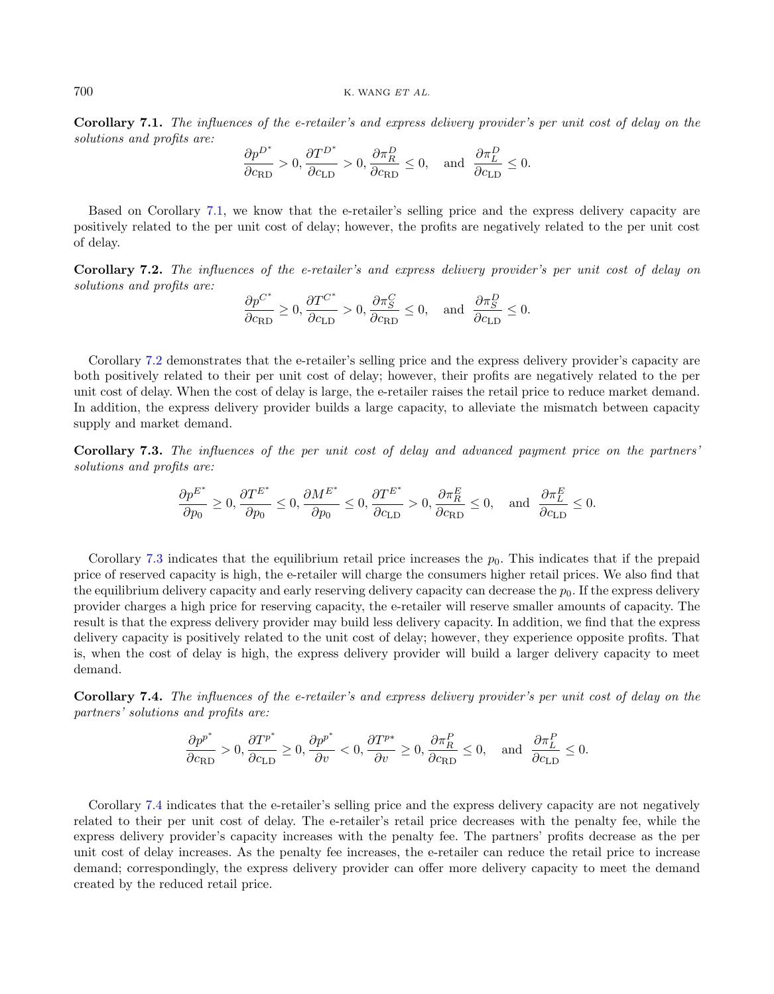Corollary 7.1. The influences of the e-retailer's and express delivery provider's per unit cost of delay on the solutions and profits are:

$$
\frac{\partial p^{D^*}}{\partial c_{\text{RD}}} > 0, \frac{\partial T^{D^*}}{\partial c_{\text{LD}}} > 0, \frac{\partial \pi_R^D}{\partial c_{\text{RD}}} \le 0, \text{ and } \frac{\partial \pi_L^D}{\partial c_{\text{LD}}} \le 0.
$$

Based on Corollary [7.1,](#page-10-3) we know that the e-retailer's selling price and the express delivery capacity are positively related to the per unit cost of delay; however, the profits are negatively related to the per unit cost of delay.

<span id="page-11-0"></span>Corollary 7.2. The influences of the e-retailer's and express delivery provider's per unit cost of delay on solutions and profits are:

$$
\frac{\partial p^{C^*}}{\partial c_{\text{RD}}}\geq 0, \frac{\partial T^{C^*}}{\partial c_{\text{LD}}}>0, \frac{\partial \pi_S^C}{\partial c_{\text{RD}}}\leq 0, \text{ and } \frac{\partial \pi_S^D}{\partial c_{\text{LD}}}\leq 0.
$$

Corollary [7.2](#page-11-0) demonstrates that the e-retailer's selling price and the express delivery provider's capacity are both positively related to their per unit cost of delay; however, their profits are negatively related to the per unit cost of delay. When the cost of delay is large, the e-retailer raises the retail price to reduce market demand. In addition, the express delivery provider builds a large capacity, to alleviate the mismatch between capacity supply and market demand.

<span id="page-11-1"></span>Corollary 7.3. The influences of the per unit cost of delay and advanced payment price on the partners' solutions and profits are:

$$
\frac{\partial p^{E^*}}{\partial p_0} \ge 0, \frac{\partial T^{E^*}}{\partial p_0} \le 0, \frac{\partial M^{E^*}}{\partial p_0} \le 0, \frac{\partial T^{E^*}}{\partial c_{\text{LD}}} > 0, \frac{\partial \pi_R^E}{\partial c_{\text{RD}}} \le 0, \text{ and } \frac{\partial \pi_L^E}{\partial c_{\text{LD}}} \le 0.
$$

Corollary [7.3](#page-11-1) indicates that the equilibrium retail price increases the  $p_0$ . This indicates that if the prepaid price of reserved capacity is high, the e-retailer will charge the consumers higher retail prices. We also find that the equilibrium delivery capacity and early reserving delivery capacity can decrease the  $p<sub>0</sub>$ . If the express delivery provider charges a high price for reserving capacity, the e-retailer will reserve smaller amounts of capacity. The result is that the express delivery provider may build less delivery capacity. In addition, we find that the express delivery capacity is positively related to the unit cost of delay; however, they experience opposite profits. That is, when the cost of delay is high, the express delivery provider will build a larger delivery capacity to meet demand.

<span id="page-11-2"></span>Corollary 7.4. The influences of the e-retailer's and express delivery provider's per unit cost of delay on the partners' solutions and profits are:

$$
\frac{\partial p^{p^*}}{\partial c_{\text{RD}}} > 0, \frac{\partial T^{p^*}}{\partial c_{\text{LD}}} \geq 0, \frac{\partial p^{p^*}}{\partial v} < 0, \frac{\partial T^{p*}}{\partial v} \geq 0, \frac{\partial \pi_R^P}{\partial c_{\text{RD}}} \leq 0, \text{ and } \frac{\partial \pi_L^P}{\partial c_{\text{LD}}} \leq 0.
$$

<span id="page-11-3"></span>Corollary [7.4](#page-11-2) indicates that the e-retailer's selling price and the express delivery capacity are not negatively related to their per unit cost of delay. The e-retailer's retail price decreases with the penalty fee, while the express delivery provider's capacity increases with the penalty fee. The partners' profits decrease as the per unit cost of delay increases. As the penalty fee increases, the e-retailer can reduce the retail price to increase demand; correspondingly, the express delivery provider can offer more delivery capacity to meet the demand created by the reduced retail price.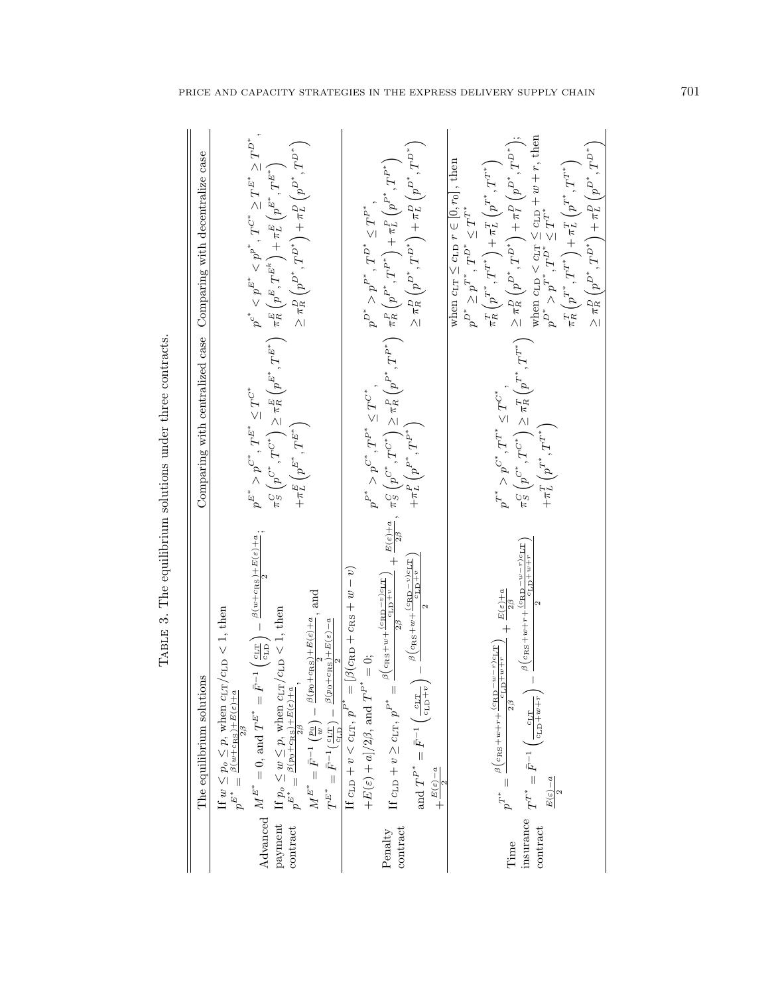<span id="page-12-0"></span>

|                               | The equilibrium solutions                                                                                                                                                                                                                                                                                                                                                                                                                                                                                                                                                                                                                                                                                                                                                                                  |                                                                                     | Comparing with centralized case Comparing with decentralize case                                                                                                                                                                                                                                                                                                                                                                                                                                                                                                                                                                                                                                                                                                                           |
|-------------------------------|------------------------------------------------------------------------------------------------------------------------------------------------------------------------------------------------------------------------------------------------------------------------------------------------------------------------------------------------------------------------------------------------------------------------------------------------------------------------------------------------------------------------------------------------------------------------------------------------------------------------------------------------------------------------------------------------------------------------------------------------------------------------------------------------------------|-------------------------------------------------------------------------------------|--------------------------------------------------------------------------------------------------------------------------------------------------------------------------------------------------------------------------------------------------------------------------------------------------------------------------------------------------------------------------------------------------------------------------------------------------------------------------------------------------------------------------------------------------------------------------------------------------------------------------------------------------------------------------------------------------------------------------------------------------------------------------------------------|
| payment<br>contract           | $\text{Advanced}\quad M^{E^*}=0\text{, and }T^{E^*}=\bar{F}^{-1}\left(\tfrac{c_{\text{LT}}}{c_{\text{LD}}}\right)-\tfrac{\beta(w+c_{\text{RS}})+E(\varepsilon)+a}{2};$<br>$M^{E^*} = \bar{F}^{-1}\left(\frac{p_0}{w}\right) - \frac{\beta(p_0 + \alpha_{\rm RS}) + E(\varepsilon) + a}{2}, \text{and}$<br>If $p_o \leq w \leq p$ , when $c_{\text{LT}}/c_{\text{LD}} < 1$ , then $p^{E^*} = \frac{\beta(p_0 + c_{\text{RS}}) + E(e) + a}{2}$<br>If $w \leq p_o \leq p$ , when $c_{\text{LT}}/c_{\text{LD}} < 1$ , then<br>$p^{E^*} = \frac{\beta(w + \epsilon_{\text{RS}}) + E(e) + a}{2\beta}$<br>$\beta(p_0+c_\text{RS})+E(\varepsilon)-a$<br>$T^{E^*}=\bar{F}^{-1}(\frac{c_{\rm LT}}{c_{\rm LD}})$ —                                                                                                    | $p^{E^*} > p^{C^*},$ $T^{E^*} \leq T^{C^*}$                                         | $p^{c^*} < p^{E^*} < p^{p^*}, \, T^{C^*} \geq T^{E^*} \geq T^{D^*},$<br>$\geq \pi^D_R\left(p^{D^*},T^{D^*}\right) + \pi^D_L\left(p^{D^*},T^{D^*}\right)$<br>$\begin{split} \pi^C_S\left(p^{C^*},T^{C^*}\right) &\geq \pi^E_R\left(p^{E^*},T^{E^*}\right) \quad \pi^E_R\left(p^E,T^{E^k}\right) + \pi^E_L\left(p^{E^*},T^{E^*}\right) \\ + \pi^E_L\left(p^{E^*},T^{E^*}\right) \qquad &\geq \pi^P_R\left(p^{D^*},T^{D^*}\right) + \pi^D_L\left(p^{D^*},T^{D^*}\right) \end{split}$                                                                                                                                                                                                                                                                                                          |
| contract<br>Penalty           | $\begin{split} \text{If } \texttt{c}_{\text{LD}} + v &\geq \texttt{c}_{\text{LT}}, \, p^{\texttt{P}^*} = \frac{\beta \big( \texttt{c}_{\texttt{RS}} + w + \frac{(\texttt{c}_{\texttt{RD}} - v) \texttt{c}_{\texttt{IP}} \texttt{T} }{2 \beta} + \frac{E(\varepsilon) + a}{2 \beta}, \, \, \tilde{\tau}_S^C \left( p^{C^*}, T^{C^*} \right) \\ &\geq \pi_R^D \left( p^{P^*}, T^{P^*} \right) \\ \texttt{c}_{\texttt{LP}} + \pi^{\texttt{P}^*} - \bar$<br>and $T^{P^*} = \bar{F}^{-1}\left(\frac{c_{LT}}{c_{LD}+v}\right) - \frac{\beta(c_{RS}+w + \frac{(c_{RD}-v)c_{LT}}{c_{LD}+v})}{2}$<br>If $c_{\text{LD}} + v < c_{\text{LT}}, p^{P^*} = [\beta(c_{\text{RD}} + c_{\text{RS}} + w - v)]$<br>$+E(\varepsilon)+a]/2\beta$ , and $T^{P^*}=0$ ;<br>$+ \frac{E\left( \varepsilon \right) - a}{\varepsilon}$ | $p^{P^*} > p^{C^*}, T^{P^*} \leq T^{C^*}$                                           | $\geq \pi^D_R\left(p^{D^*},T^{D^*}\right)+\pi^D_L\left(p^{D^*},T^{D^*}\right)$<br>$p^{D^*} > p^{P^*},$ $T^{D^*} \leq T^{P^*}$ .                                                                                                                                                                                                                                                                                                                                                                                                                                                                                                                                                                                                                                                            |
| insurance<br>contract<br>Time | $\left(\frac{c_{LT}}{1+\omega+\omega+\omega} \right)^{-\omega} = \frac{\beta\left(c_{\rm RS}+\omega+\omega+\frac{c_{\rm RS}-\omega}{1+\omega} - \frac{c_{\rm NS}-\omega}{1+\omega} \right)}{\beta\left(c_{\rm RS}+\omega+\omega+\frac{c_{\rm RS}-\omega}{1+\omega} \right)} \label{eq:beta}$<br>$\frac{1}{\tau} + \frac{E(\varepsilon) + a}{\tau}$<br>$p^{r*}=\frac{\beta\left(c_{\mathrm{RS}}+w+r+\frac{(c_{\mathrm{RD}}-w-r)c_{\mathrm{LT}}}{c_{\mathrm{LD}}+w+r}\right)}{2\beta}$<br>$T^{T^*} = \bar{F}^{-1}$<br>$E(\varepsilon)-a$                                                                                                                                                                                                                                                                     | $p^{T^*} > p^{C^*}, T^{T^*} \leq T^{C^*}$<br>$+\pi_L^T\left(p^{T^*},T^{T^*}\right)$ | $\begin{array}{l} \text { when } \operatorname{c}_{\operatorname{LD}} < \operatorname{c}_{\operatorname{L}\operatorname{P}} \le \operatorname{c}_{\operatorname{LD}} + w + r, \, \text {then} \\ p^{D^*} > p^{T^*}, T^{D^*} \le T^{T^*} \end{array}$<br>$\pi^C_S\left(p^{C^*},T^{C^*}\right)\geq \pi^T_R\left(p^{T^*},T^{T^*}\right) \ \geq \pi^D_R\left(p^{D^*},T^{D^*}\right)+\pi^P_T\left(p^{D^*},\overset{\cdot}{T}^{D^*}\right);$<br>$\geq \pi^D_R\left(p^{D^*},T^{D^*}\right) + \pi^D_L\left(p^{D^*},T^{D^*}\right)$<br>$\pi^T_R\left(p^{T^*},T^{T^*}\right)+\pi^T_L\left(p^{T^*},T^{T^*}\right)$<br>when $c_{LT} \leq c_{LD} r \in [0, r_0]$ , then<br>$p^{D^*} \geq p^{T^*}$ , $T^{D^*} \leq T^{T^*}$<br>$\pi^T_R\left(p^{T^*},T^{T^*}\right)+\pi^T_L\left(p^{T^*},T^{T^*}\right)$ |

TABLE 3. The equilibrium solutions under three contracts. TABLE 3. The equilibrium solutions under three contracts.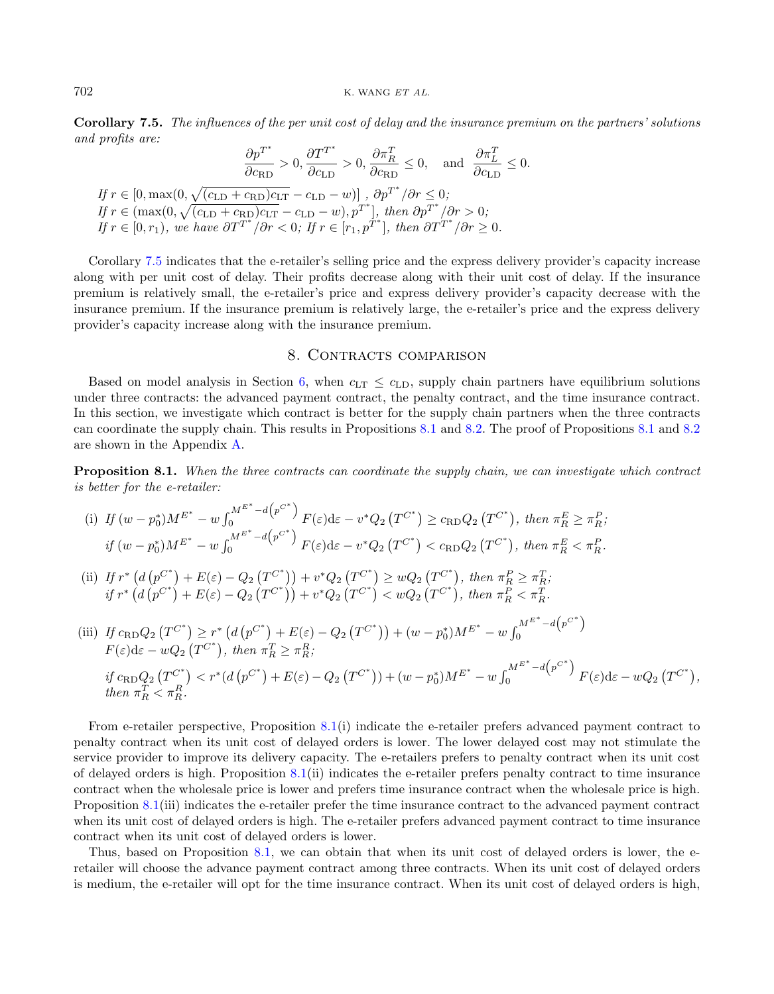Corollary 7.5. The influences of the per unit cost of delay and the insurance premium on the partners' solutions and profits are:

$$
\frac{\partial p^{T^*}}{\partial c_{\text{RD}}} > 0, \frac{\partial T^{T^*}}{\partial c_{\text{RD}}} > 0, \frac{\partial \pi_R^T}{\partial c_{\text{RD}}} \le 0, \text{ and } \frac{\partial \pi_L^T}{\partial c_{\text{LD}}} \le 0.
$$
  
If  $r \in [0, \max(0, \sqrt{(c_{\text{LD}} + c_{\text{RD}})c_{\text{LT}}} - c_{\text{LD}} - w)]$ ,  $\partial p^{T^*}/\partial r \le 0$ ;  
If  $r \in (\max(0, \sqrt{(c_{\text{LD}} + c_{\text{RD}})c_{\text{LT}}} - c_{\text{LD}} - w), p^{T^*}|$ , then  $\partial p^{T^*}/\partial r > 0$ ;  
If  $r \in [0, r_1)$ , we have  $\partial T^{T^*}/\partial r < 0$ ; If  $r \in [r_1, p^{T^*}]$ , then  $\partial T^{T^*}/\partial r \ge 0$ .

Corollary [7.5](#page-11-3) indicates that the e-retailer's selling price and the express delivery provider's capacity increase along with per unit cost of delay. Their profits decrease along with their unit cost of delay. If the insurance premium is relatively small, the e-retailer's price and express delivery provider's capacity decrease with the insurance premium. If the insurance premium is relatively large, the e-retailer's price and the express delivery provider's capacity increase along with the insurance premium.

### 8. CONTRACTS COMPARISON

<span id="page-13-0"></span>Based on model analysis in Section [6,](#page-6-0) when  $c_{LT} \leq c_{LD}$ , supply chain partners have equilibrium solutions under three contracts: the advanced payment contract, the penalty contract, and the time insurance contract. In this section, we investigate which contract is better for the supply chain partners when the three contracts can coordinate the supply chain. This results in Propositions [8.1](#page-13-1) and [8.2.](#page-14-1) The proof of Propositions [8.1](#page-13-1) and [8.2](#page-14-1) are shown in the Appendix [A.](#page-19-0)

<span id="page-13-1"></span>Proposition 8.1. When the three contracts can coordinate the supply chain, we can investigate which contract is better for the e-retailer:

(i) If 
$$
(w - p_0^*)M^{E^*} - w \int_0^{M^{E^*} - d(p^{C^*})} F(\varepsilon) d\varepsilon - v^* Q_2(T^{C^*}) \ge c_{RD} Q_2(T^{C^*})
$$
, then  $\pi_R^E \ge \pi_R^P$ ;  
if  $(w - p_0^*)M^{E^*} - w \int_0^{M^{E^*} - d(p^{C^*})} F(\varepsilon) d\varepsilon - v^* Q_2(T^{C^*}) < c_{RD} Q_2(T^{C^*})$ , then  $\pi_R^E < \pi_R^P$ .

(ii) If 
$$
r^*
$$
  $(d(p^{C^*}) + E(\varepsilon) - Q_2(T^{C^*})) + v^*Q_2(T^{C^*}) \ge wQ_2(T^{C^*}),$  then  $\pi_R^P \ge \pi_R^T$ ; if  $r^*$   $(d(p^{C^*}) + E(\varepsilon) - Q_2(T^{C^*})) + v^*Q_2(T^{C^*}) < wQ_2(T^{C^*}),$  then  $\pi_R^P < \pi_R^T$ .

(iii) If 
$$
c_{\text{RD}}Q_2(T^{C^*}) \ge r^*
$$
  $(d(p^{C^*}) + E(\varepsilon) - Q_2(T^{C^*})) + (w - p_0^*)M^{E^*} - w \int_0^{M^{E^*} - d(p^{C^*})} F(\varepsilon) d\varepsilon - wQ_2(T^{C^*}),$  then  $\pi_R^T \ge \pi_R^R$ ;  
\nif  $c_{\text{RD}}Q_2(T^{C^*}) < r^*(d(p^{C^*}) + E(\varepsilon) - Q_2(T^{C^*})) + (w - p_0^*)M^{E^*} - w \int_0^{M^{E^*} - d(p^{C^*})} F(\varepsilon) d\varepsilon - wQ_2(T^{C^*}),$   
\nthen  $\pi_R^T < \pi_R^R$ .

From e-retailer perspective, Proposition [8.1\(](#page-13-1)i) indicate the e-retailer prefers advanced payment contract to penalty contract when its unit cost of delayed orders is lower. The lower delayed cost may not stimulate the service provider to improve its delivery capacity. The e-retailers prefers to penalty contract when its unit cost of delayed orders is high. Proposition [8.1\(](#page-13-1)ii) indicates the e-retailer prefers penalty contract to time insurance contract when the wholesale price is lower and prefers time insurance contract when the wholesale price is high. Proposition [8.1\(](#page-13-1)iii) indicates the e-retailer prefer the time insurance contract to the advanced payment contract when its unit cost of delayed orders is high. The e-retailer prefers advanced payment contract to time insurance contract when its unit cost of delayed orders is lower.

Thus, based on Proposition [8.1,](#page-13-1) we can obtain that when its unit cost of delayed orders is lower, the eretailer will choose the advance payment contract among three contracts. When its unit cost of delayed orders is medium, the e-retailer will opt for the time insurance contract. When its unit cost of delayed orders is high,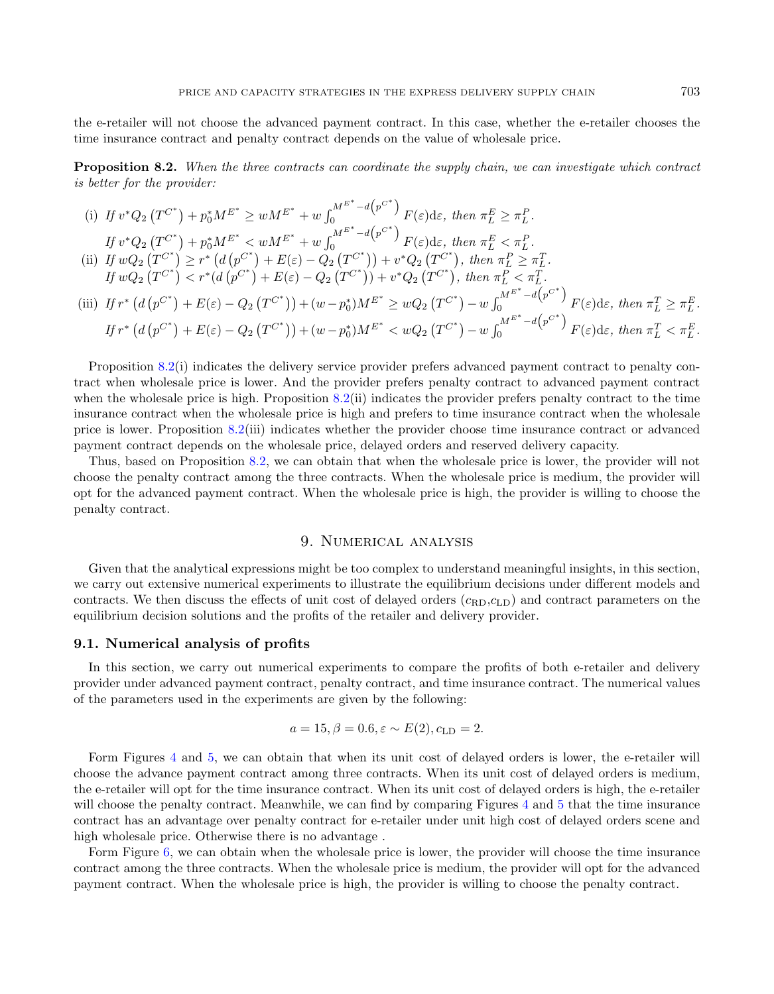the e-retailer will not choose the advanced payment contract. In this case, whether the e-retailer chooses the time insurance contract and penalty contract depends on the value of wholesale price.

<span id="page-14-1"></span>Proposition 8.2. When the three contracts can coordinate the supply chain, we can investigate which contract is better for the provider:

(i) If 
$$
v^*Q_2(T^{C^*}) + p_0^*M^{E^*} \geq wM^{E^*} + w \int_0^{M^{E^*} - d(p^{C^*})} F(\varepsilon) d\varepsilon
$$
, then  $\pi_L^E \geq \pi_L^P$ .  
\nIf  $v^*Q_2(T^{C^*}) + p_0^*M^{E^*} < wM^{E^*} + w \int_0^{M^{E^*} - d(p^{C^*})} F(\varepsilon) d\varepsilon$ , then  $\pi_L^E < \pi_L^P$ .  
\n(ii) If  $wQ_2(T^{C^*}) \geq r^* (d(p^{C^*}) + E(\varepsilon) - Q_2(T^{C^*})) + v^*Q_2(T^{C^*})$ , then  $\pi_L^P \geq \pi_L^T$ .  
\nIf  $wQ_2(T^{C^*}) < r^* (d(p^{C^*}) + E(\varepsilon) - Q_2(T^{C^*})) + v^*Q_2(T^{C^*})$ , then  $\pi_L^P < \pi_L^T$ .  
\n(iii) If  $r^* (d(p^{C^*}) + E(\varepsilon) - Q_2(T^{C^*})) + (w - p_0^*)M^{E^*} \geq wQ_2(T^{C^*}) - w \int_0^{M^{E^*} - d(p^{C^*})} F(\varepsilon) d\varepsilon$ , then  $\pi_L^T \geq \pi_L^E$ .  
\nIf  $r^* (d(p^{C^*}) + E(\varepsilon) - Q_2(T^{C^*})) + (w - p_0^*)M^{E^*} < wQ_2(T^{C^*}) - w \int_0^{M^{E^*} - d(p^{C^*})} F(\varepsilon) d\varepsilon$ , then  $\pi_L^T < \pi_L^E$ .

Proposition [8.2\(](#page-14-1)i) indicates the delivery service provider prefers advanced payment contract to penalty contract when wholesale price is lower. And the provider prefers penalty contract to advanced payment contract when the wholesale price is high. Proposition  $8.2(ii)$  $8.2(ii)$  indicates the provider prefers penalty contract to the time insurance contract when the wholesale price is high and prefers to time insurance contract when the wholesale price is lower. Proposition [8.2\(](#page-14-1)iii) indicates whether the provider choose time insurance contract or advanced payment contract depends on the wholesale price, delayed orders and reserved delivery capacity.

Thus, based on Proposition [8.2,](#page-14-1) we can obtain that when the wholesale price is lower, the provider will not choose the penalty contract among the three contracts. When the wholesale price is medium, the provider will opt for the advanced payment contract. When the wholesale price is high, the provider is willing to choose the penalty contract.

# 9. Numerical analysis

<span id="page-14-0"></span>Given that the analytical expressions might be too complex to understand meaningful insights, in this section, we carry out extensive numerical experiments to illustrate the equilibrium decisions under different models and contracts. We then discuss the effects of unit cost of delayed orders  $(c_{\text{RD}},c_{\text{LD}})$  and contract parameters on the equilibrium decision solutions and the profits of the retailer and delivery provider.

## 9.1. Numerical analysis of profits

In this section, we carry out numerical experiments to compare the profits of both e-retailer and delivery provider under advanced payment contract, penalty contract, and time insurance contract. The numerical values of the parameters used in the experiments are given by the following:

$$
a = 15, \beta = 0.6, \varepsilon \sim E(2), c_{LD} = 2.
$$

Form Figures [4](#page-15-0) and [5,](#page-15-1) we can obtain that when its unit cost of delayed orders is lower, the e-retailer will choose the advance payment contract among three contracts. When its unit cost of delayed orders is medium, the e-retailer will opt for the time insurance contract. When its unit cost of delayed orders is high, the e-retailer will choose the penalty contract. Meanwhile, we can find by comparing Figures [4](#page-15-0) and [5](#page-15-1) that the time insurance contract has an advantage over penalty contract for e-retailer under unit high cost of delayed orders scene and high wholesale price. Otherwise there is no advantage.

Form Figure [6,](#page-16-0) we can obtain when the wholesale price is lower, the provider will choose the time insurance contract among the three contracts. When the wholesale price is medium, the provider will opt for the advanced payment contract. When the wholesale price is high, the provider is willing to choose the penalty contract.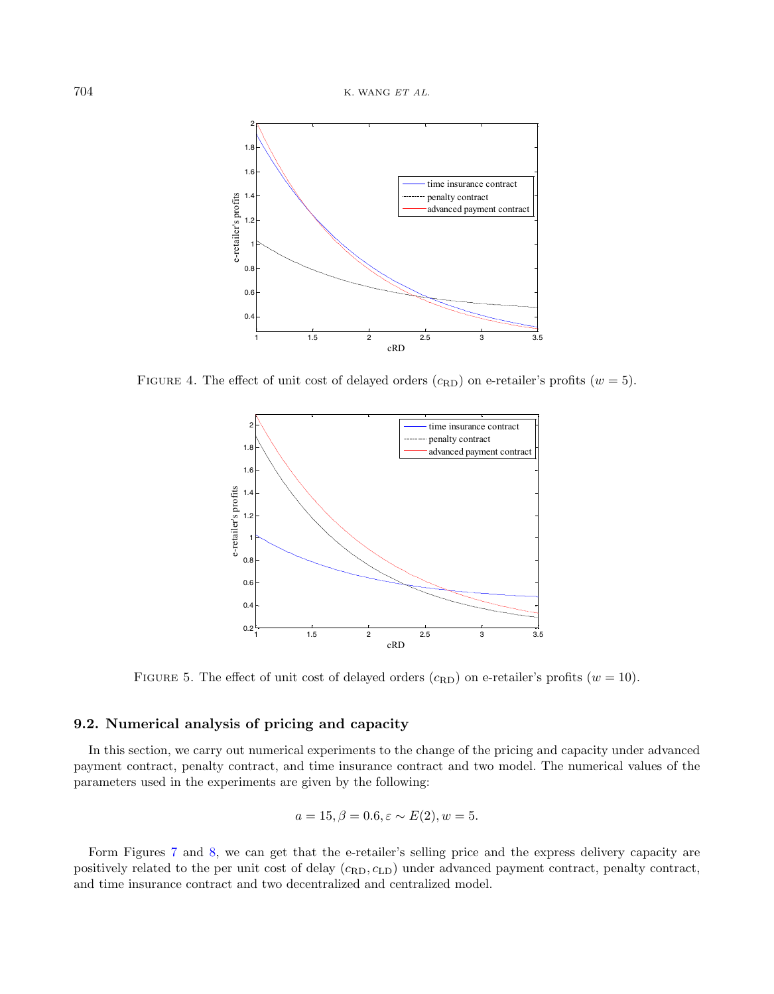<span id="page-15-0"></span>

FIGURE 4. The effect of unit cost of delayed orders  $(c_{\rm RD})$  on e-retailer's profits  $(w = 5)$ .

<span id="page-15-1"></span>

FIGURE 5. The effect of unit cost of delayed orders  $(c_{\text{RD}})$  on e-retailer's profits  $(w = 10)$ .

# 9.2. Numerical analysis of pricing and capacity

In this section, we carry out numerical experiments to the change of the pricing and capacity under advanced payment contract, penalty contract, and time insurance contract and two model. The numerical values of the parameters used in the experiments are given by the following:

$$
a = 15, \beta = 0.6, \varepsilon \sim E(2), w = 5.
$$

Form Figures [7](#page-16-1) and [8,](#page-17-0) we can get that the e-retailer's selling price and the express delivery capacity are positively related to the per unit cost of delay  $(c_{RD}, c_{LD})$  under advanced payment contract, penalty contract, and time insurance contract and two decentralized and centralized model.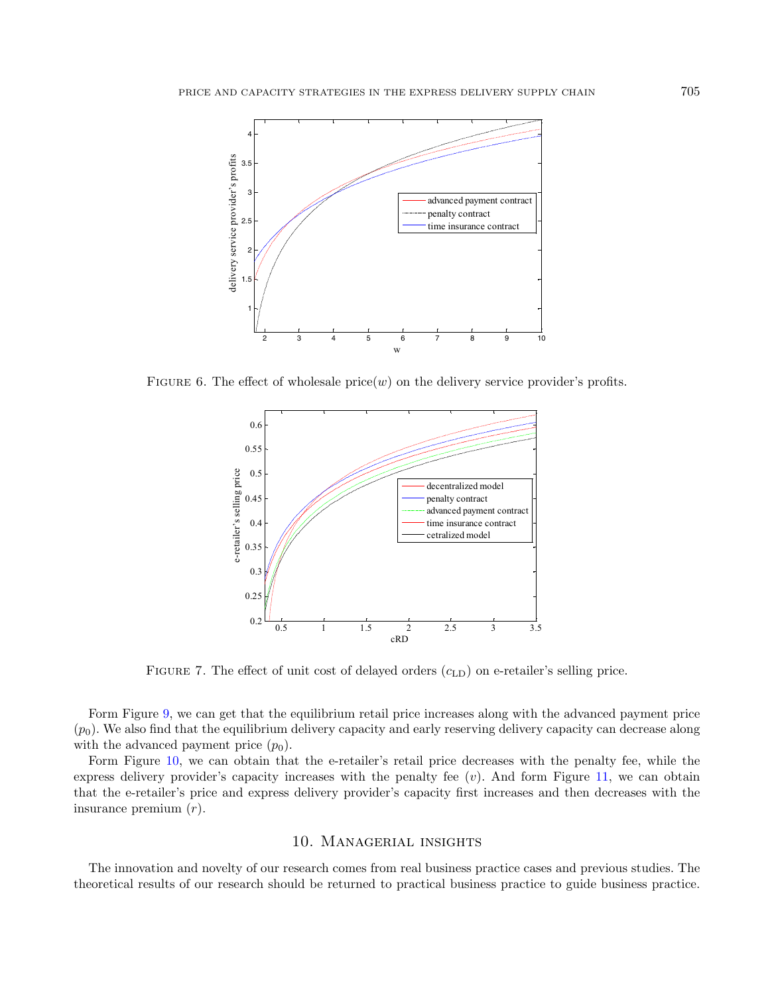<span id="page-16-0"></span>

FIGURE 6. The effect of wholesale  $\text{price}(w)$  on the delivery service provider's profits.

<span id="page-16-1"></span>

FIGURE 7. The effect of unit cost of delayed orders  $(c<sub>LD</sub>)$  on e-retailer's selling price.

Form Figure [9,](#page-17-1) we can get that the equilibrium retail price increases along with the advanced payment price  $(p_0)$ . We also find that the equilibrium delivery capacity and early reserving delivery capacity can decrease along with the advanced payment price  $(p_0)$ .

Form Figure [10,](#page-18-0) we can obtain that the e-retailer's retail price decreases with the penalty fee, while the express delivery provider's capacity increases with the penalty fee  $(v)$ . And form Figure [11,](#page-18-1) we can obtain that the e-retailer's price and express delivery provider's capacity first increases and then decreases with the insurance premium (r).

# 10. Managerial insights

The innovation and novelty of our research comes from real business practice cases and previous studies. The theoretical results of our research should be returned to practical business practice to guide business practice.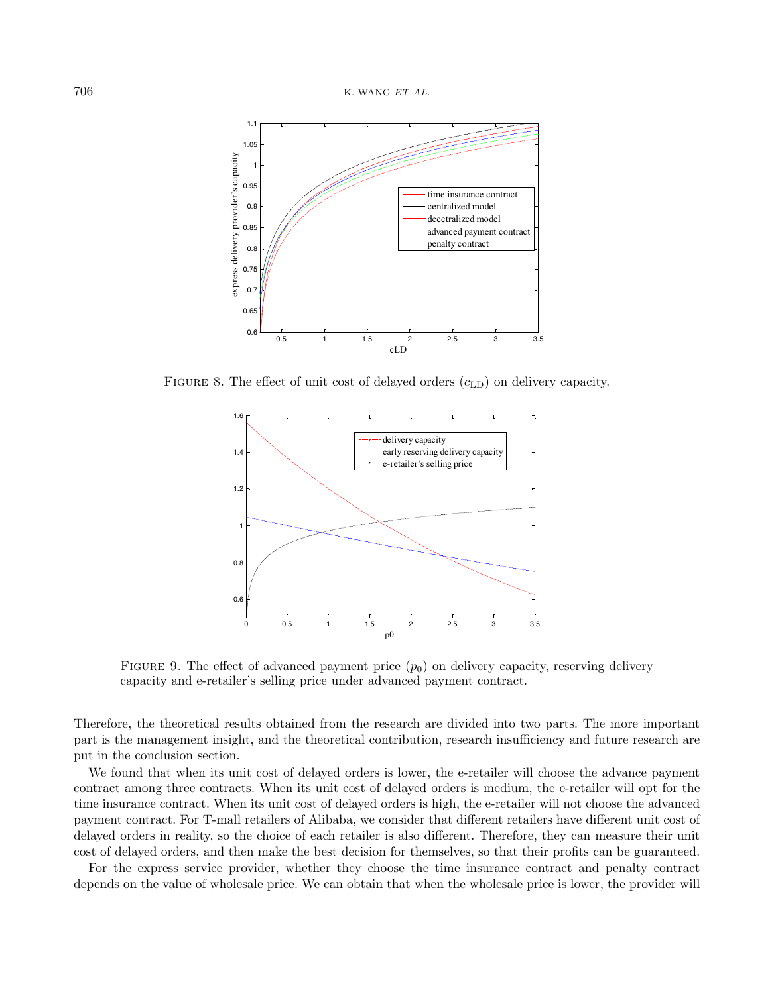<span id="page-17-0"></span>

FIGURE 8. The effect of unit cost of delayed orders  $(c<sub>LD</sub>)$  on delivery capacity.

<span id="page-17-1"></span>

FIGURE 9. The effect of advanced payment price  $(p_0)$  on delivery capacity, reserving delivery capacity and e-retailer's selling price under advanced payment contract.

Therefore, the theoretical results obtained from the research are divided into two parts. The more important part is the management insight, and the theoretical contribution, research insufficiency and future research are put in the conclusion section.

We found that when its unit cost of delayed orders is lower, the e-retailer will choose the advance payment contract among three contracts. When its unit cost of delayed orders is medium, the e-retailer will opt for the time insurance contract. When its unit cost of delayed orders is high, the e-retailer will not choose the advanced payment contract. For T-mall retailers of Alibaba, we consider that different retailers have different unit cost of delayed orders in reality, so the choice of each retailer is also different. Therefore, they can measure their unit cost of delayed orders, and then make the best decision for themselves, so that their profits can be guaranteed.

For the express service provider, whether they choose the time insurance contract and penalty contract depends on the value of wholesale price. We can obtain that when the wholesale price is lower, the provider will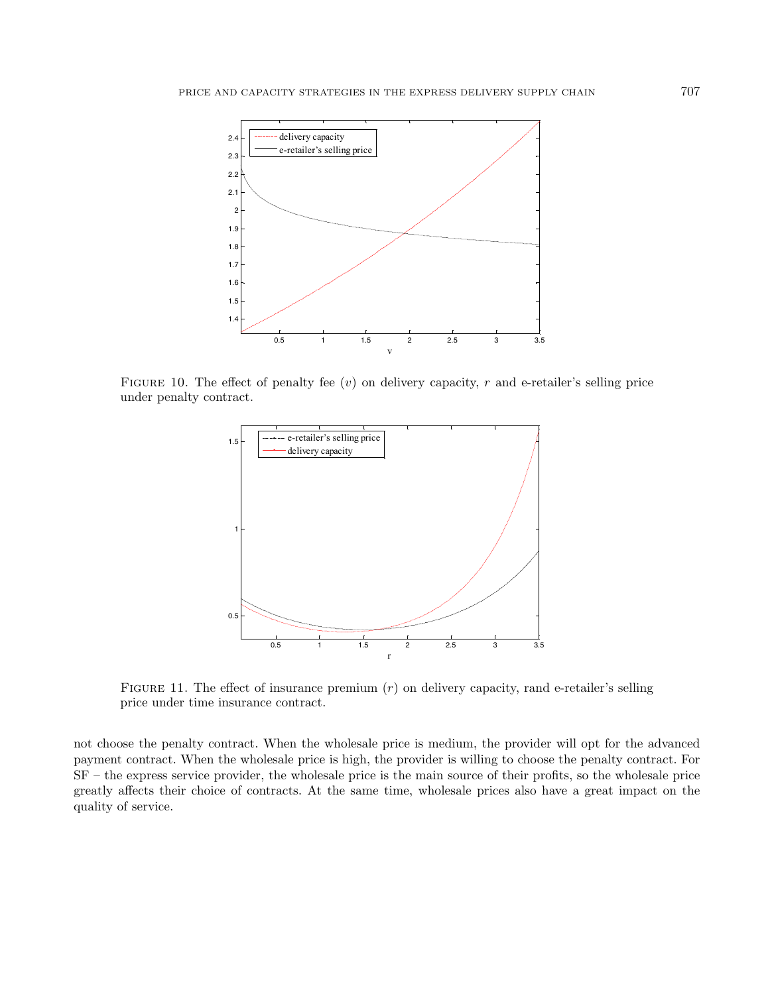<span id="page-18-0"></span>

FIGURE 10. The effect of penalty fee  $(v)$  on delivery capacity, r and e-retailer's selling price under penalty contract.

<span id="page-18-1"></span>

FIGURE 11. The effect of insurance premium  $(r)$  on delivery capacity, rand e-retailer's selling price under time insurance contract.

not choose the penalty contract. When the wholesale price is medium, the provider will opt for the advanced payment contract. When the wholesale price is high, the provider is willing to choose the penalty contract. For SF – the express service provider, the wholesale price is the main source of their profits, so the wholesale price greatly affects their choice of contracts. At the same time, wholesale prices also have a great impact on the quality of service.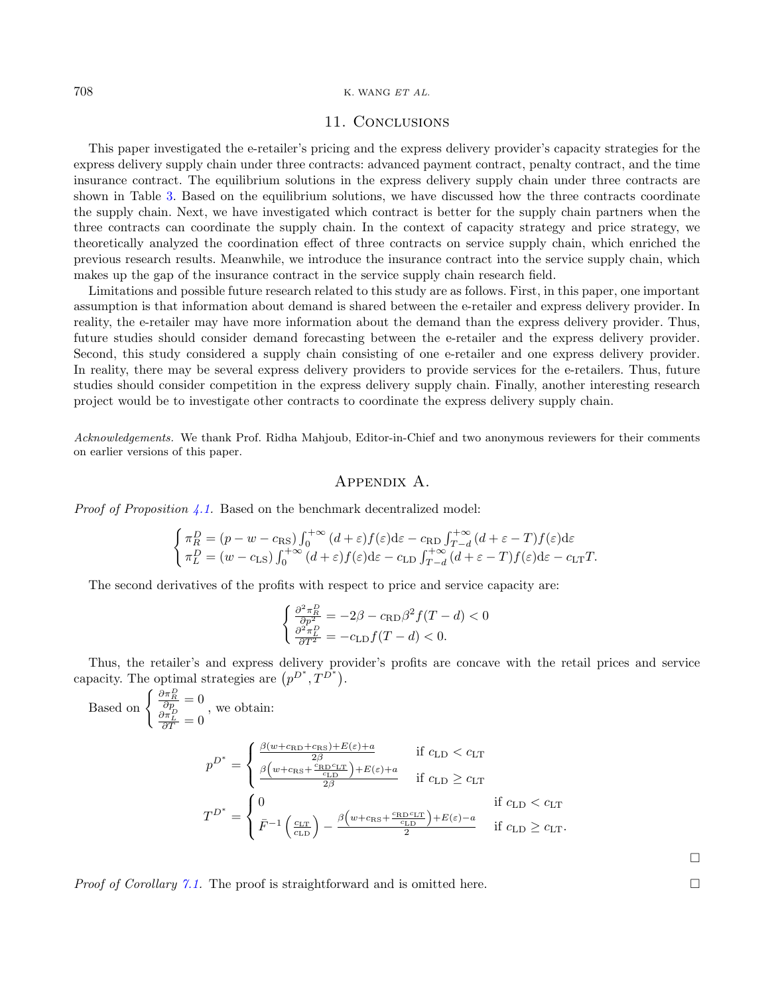### 708 K. WANG ET AL.

# 11. Conclusions

This paper investigated the e-retailer's pricing and the express delivery provider's capacity strategies for the express delivery supply chain under three contracts: advanced payment contract, penalty contract, and the time insurance contract. The equilibrium solutions in the express delivery supply chain under three contracts are shown in Table [3.](#page-12-0) Based on the equilibrium solutions, we have discussed how the three contracts coordinate the supply chain. Next, we have investigated which contract is better for the supply chain partners when the three contracts can coordinate the supply chain. In the context of capacity strategy and price strategy, we theoretically analyzed the coordination effect of three contracts on service supply chain, which enriched the previous research results. Meanwhile, we introduce the insurance contract into the service supply chain, which makes up the gap of the insurance contract in the service supply chain research field.

Limitations and possible future research related to this study are as follows. First, in this paper, one important assumption is that information about demand is shared between the e-retailer and express delivery provider. In reality, the e-retailer may have more information about the demand than the express delivery provider. Thus, future studies should consider demand forecasting between the e-retailer and the express delivery provider. Second, this study considered a supply chain consisting of one e-retailer and one express delivery provider. In reality, there may be several express delivery providers to provide services for the e-retailers. Thus, future studies should consider competition in the express delivery supply chain. Finally, another interesting research project would be to investigate other contracts to coordinate the express delivery supply chain.

Acknowledgements. We thank Prof. Ridha Mahjoub, Editor-in-Chief and two anonymous reviewers for their comments on earlier versions of this paper.

# Appendix A.

<span id="page-19-0"></span>*Proof of Proposition [4.1.](#page-5-3)* Based on the benchmark decentralized model:

$$
\begin{cases}\n\pi_R^D = (p - w - c_{\text{RS}}) \int_0^{+\infty} (d + \varepsilon) f(\varepsilon) d\varepsilon - c_{\text{RD}} \int_{T-d}^{+\infty} (d + \varepsilon - T) f(\varepsilon) d\varepsilon \\
\pi_L^D = (w - c_{\text{LS}}) \int_0^{+\infty} (d + \varepsilon) f(\varepsilon) d\varepsilon - c_{\text{LD}} \int_{T-d}^{+\infty} (d + \varepsilon - T) f(\varepsilon) d\varepsilon - c_{\text{LT}} T.\n\end{cases}
$$

The second derivatives of the profits with respect to price and service capacity are:

$$
\begin{cases} \frac{\partial^2 \pi_R^D}{\partial p^2} = -2\beta - c_{\text{RD}}\beta^2 f(T - d) < 0\\ \frac{\partial^2 \pi_L^D}{\partial T^2} = -c_{\text{LD}}f(T - d) < 0. \end{cases}
$$

Thus, the retailer's and express delivery provider's profits are concave with the retail prices and service capacity. The optimal strategies are  $(p^{D^*}, \tilde{T}^{D^*})$ .

Based on 
$$
\begin{cases} \frac{\partial \pi_R^D}{\partial p} = 0 \\ \frac{\partial \pi_L^D}{\partial T} = 0 \end{cases}
$$
, we obtain:  
\n
$$
p^{D^*} = \begin{cases} \frac{\beta(w + c_{\text{RD}} + c_{\text{RS}}) + E(\varepsilon) + a}{2\beta} & \text{if } c_{\text{LD}} < c_{\text{LT}} \\ \frac{\beta(w + c_{\text{RS}} + \frac{c_{\text{RD}}c_{\text{LT}}}{c_{\text{LD}}}) + E(\varepsilon) + a}{2\beta} & \text{if } c_{\text{LD}} \ge c_{\text{LT}} \end{cases}
$$
  
\n
$$
T^{D^*} = \begin{cases} 0 & \text{if } c_{\text{LD}} < c_{\text{LT}} \\ \bar{F}^{-1} \left( \frac{c_{\text{LT}}}{c_{\text{LD}}} \right) - \frac{\beta(w + c_{\text{RS}} + \frac{c_{\text{RD}}c_{\text{LT}}}{c_{\text{LD}}}) + E(\varepsilon) - a}{2} & \text{if } c_{\text{LD}} \ge c_{\text{LT}}. \end{cases}
$$

*Proof of Corollary [7.1.](#page-10-3)* The proof is straightforward and is omitted here.

 $\Box$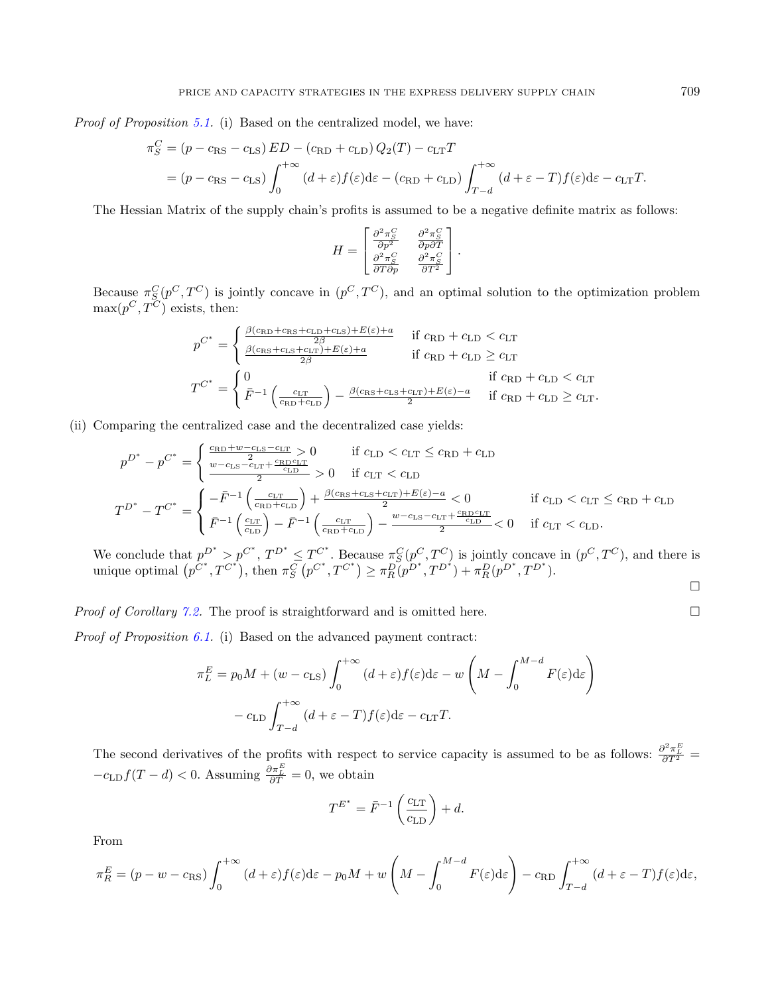Proof of Proposition [5.1.](#page-5-5) (i) Based on the centralized model, we have:

$$
\pi_S^C = (p - c_{\rm RS} - c_{\rm LS}) ED - (c_{\rm RD} + c_{\rm LD}) Q_2(T) - c_{\rm LT}T
$$
  
=  $(p - c_{\rm RS} - c_{\rm LS}) \int_0^{+\infty} (d + \varepsilon) f(\varepsilon) d\varepsilon - (c_{\rm RD} + c_{\rm LD}) \int_{T-d}^{+\infty} (d + \varepsilon - T) f(\varepsilon) d\varepsilon - c_{\rm LT}T.$ 

The Hessian Matrix of the supply chain's profits is assumed to be a negative definite matrix as follows:

$$
H = \begin{bmatrix} \frac{\partial^2 \pi_S^C}{\partial p^2} & \frac{\partial^2 \pi_S^C}{\partial p \partial T} \\ \frac{\partial^2 \pi_S^C}{\partial T \partial p} & \frac{\partial^2 \pi_S^C}{\partial T^2} \end{bmatrix}.
$$

Because  $\pi_S^C(p^C, T^C)$  is jointly concave in  $(p^C, T^C)$ , and an optimal solution to the optimization problem  $\max(p^C, T^C)$  exists, then:

$$
p^{C^*} = \begin{cases} \frac{\beta(c_{\text{RD}} + c_{\text{RS}} + c_{\text{LD}} + c_{\text{LS}}) + E(\varepsilon) + a}{2\beta} & \text{if } c_{\text{RD}} + c_{\text{LD}} < c_{\text{LT}}\\ \frac{\beta(c_{\text{RS}} + c_{\text{LS}} + c_{\text{LT}}) + E(\varepsilon) + a}{2\beta} & \text{if } c_{\text{RD}} + c_{\text{LD}} \ge c_{\text{LT}}\\ T^{C^*} = \begin{cases} 0 & \text{if } c_{\text{RD}} + c_{\text{LD}} < c_{\text{LT}}\\ \bar{F}^{-1}\left(\frac{c_{\text{LT}}}{c_{\text{RD}} + c_{\text{LD}}}\right) - \frac{\beta(c_{\text{RS}} + c_{\text{LS}} + c_{\text{LT}}) + E(\varepsilon) - a}{2} & \text{if } c_{\text{RD}} + c_{\text{LD}} \ge c_{\text{LT}}. \end{cases}
$$

(ii) Comparing the centralized case and the decentralized case yields:

$$
p^{D^*} - p^{C^*} = \begin{cases} \frac{c_{\text{RD}} + w - c_{\text{LS}} - c_{\text{LT}}}{2} & \text{if } c_{\text{LD}} < c_{\text{LT}} \leq c_{\text{RD}} + c_{\text{LD}}\\ \frac{w - c_{\text{LS}} - c_{\text{LT}} + \frac{c_{\text{RD}}c_{\text{LT}}}{c_{\text{LD}}} > 0 & \text{if } c_{\text{LT}} < c_{\text{LD}}\\ \frac{2}{2} > 0 & \text{if } c_{\text{LT}} < c_{\text{LD}} \end{cases} \quad \text{if } c_{\text{LD}} < c_{\text{LT}} \leq c_{\text{RD}} + c_{\text{LD}} \end{cases}
$$
\n
$$
T^{D^*} - T^{C^*} = \begin{cases} -\bar{F}^{-1} \left( \frac{c_{\text{LT}}}{c_{\text{RD}} + c_{\text{LD}}} \right) + \frac{\beta(c_{\text{RS}} + c_{\text{LS}} + c_{\text{LT}}) + E(\varepsilon) - a}{2} < 0 & \text{if } c_{\text{LD}} < c_{\text{LT}} \leq c_{\text{RD}} + c_{\text{LD}}\\ \bar{F}^{-1} \left( \frac{c_{\text{LT}}}{c_{\text{LD}}} \right) - \bar{F}^{-1} \left( \frac{c_{\text{LT}}}{c_{\text{RD}} + c_{\text{LD}}} \right) - \frac{w - c_{\text{LS}} - c_{\text{LT}} + \frac{c_{\text{RD}}c_{\text{LT}}}{c_{\text{LD}}} < 0 & \text{if } c_{\text{LT}} < c_{\text{LD}}.\end{cases}
$$

We conclude that  $p^{D^*} > p^{C^*}$ ,  $T^{D^*} \le T^{C^*}$ . Because  $\pi_S^C(p^C, T^C)$  is jointly concave in  $(p^C, T^C)$ , and there is unique optimal  $(p^{C^*}, T^{C^*})$ , then  $\pi_S^C(p^{C^*}, T^{C^*}) \geq \pi_R^D(p^{D^*}, T^{D^*}) + \pi_R^D(p^{D^*}, T^{D^*})$ .  $\Box$ 

*Proof of Corollary [7.2.](#page-11-0)* The proof is straightforward and is omitted here.

Proof of Proposition [6.1.](#page-7-2) (i) Based on the advanced payment contract:

$$
\pi_L^E = p_0 M + (w - c_{\text{LS}}) \int_0^{+\infty} (d + \varepsilon) f(\varepsilon) d\varepsilon - w \left( M - \int_0^{M - d} F(\varepsilon) d\varepsilon \right)
$$

$$
- c_{\text{LD}} \int_{T - d}^{+\infty} (d + \varepsilon - T) f(\varepsilon) d\varepsilon - c_{\text{LT}} T.
$$

The second derivatives of the profits with respect to service capacity is assumed to be as follows:  $\frac{\partial^2 \pi_E^E}{\partial T^2}$  $-c_{\text{LD}}f(T-d) < 0$ . Assuming  $\frac{\partial \pi_E^E}{\partial T} = 0$ , we obtain

$$
T^{E^*} = \bar{F}^{-1} \left( \frac{c_{\rm LT}}{c_{\rm LD}} \right) + d.
$$

From

$$
\pi_R^E = (p - w - c_{\rm RS}) \int_0^{+\infty} (d + \varepsilon) f(\varepsilon) d\varepsilon - p_0 M + w \left( M - \int_0^{M-d} F(\varepsilon) d\varepsilon \right) - c_{\rm RD} \int_{T-d}^{+\infty} (d + \varepsilon - T) f(\varepsilon) d\varepsilon,
$$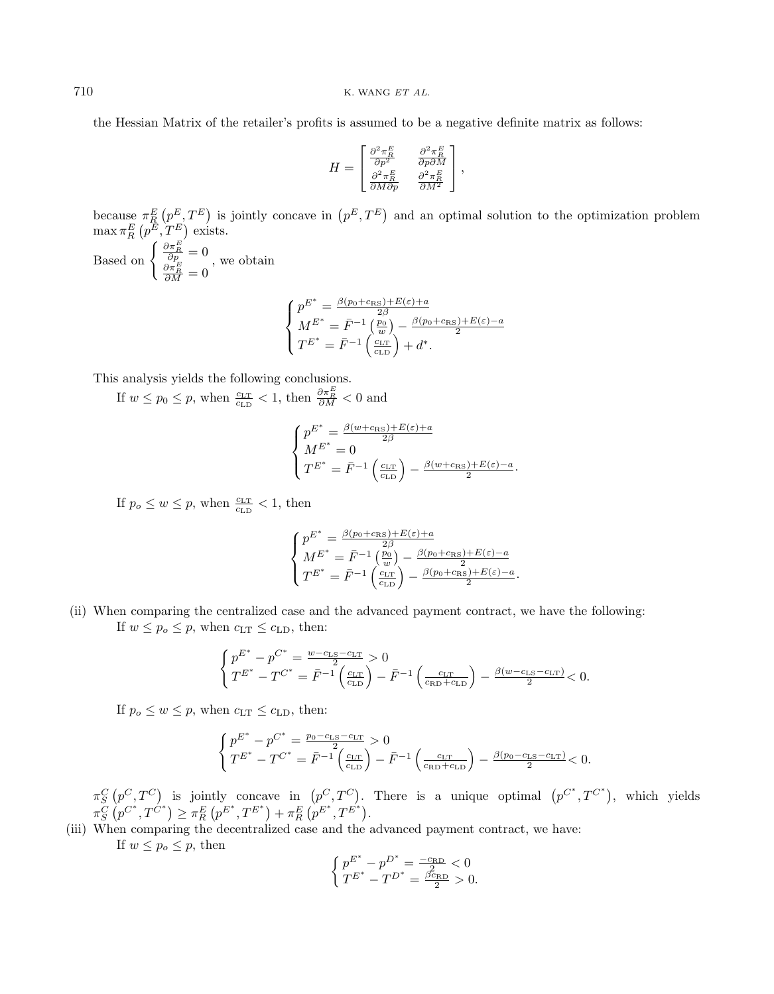the Hessian Matrix of the retailer's profits is assumed to be a negative definite matrix as follows:

$$
H = \begin{bmatrix} \frac{\partial^2 \pi_R^E}{\partial p^2} & \frac{\partial^2 \pi_R^E}{\partial p \partial M} \\ \frac{\partial^2 \pi_R^E}{\partial M \partial p} & \frac{\partial^2 \pi_R^E}{\partial M^2} \end{bmatrix},
$$

because  $\pi_R^E(p^E,T^E)$  is jointly concave in  $(p^E,T^E)$  and an optimal solution to the optimization problem  $\max \pi_R^E(p^E, T^E)$  exists.

Based on  $\begin{cases} \frac{\partial \pi_E^E}{\partial p} = 0 \\ \frac{\partial \pi_E^E}{\partial M} = 0 \end{cases}$ , we obtain

$$
\begin{cases}\np^{E^*} = \frac{\beta(p_0 + c_{\text{RS}}) + E(\varepsilon) + a}{2\beta} \\
M^{E^*} = \bar{F}^{-1} \left(\frac{p_0}{w}\right) - \frac{\beta(p_0 + c_{\text{RS}}) + E(\varepsilon) - a}{2} \\
T^{E^*} = \bar{F}^{-1} \left(\frac{c_{\text{LT}}}{c_{\text{LD}}}\right) + d^*. \n\end{cases}
$$

This analysis yields the following conclusions.

If  $w \leq p_0 \leq p$ , when  $\frac{c_{\text{LT}}}{c_{\text{LD}}} < 1$ , then  $\frac{\partial \pi_E^E}{\partial M} < 0$  and

$$
\left\{ \begin{aligned} p^{E^*} &= \frac{\beta(w + \text{crs}) + E(\varepsilon) + a}{2\beta} \\ M^{E^*} &= 0 \\ T^{E^*} &= \bar{F}^{-1} \left( \frac{c_{\text{LT}}}{c_{\text{LD}}} \right) - \frac{\beta(w + \text{crs}) + E(\varepsilon) - a}{2}. \end{aligned} \right.
$$

If  $p_o \leq w \leq p$ , when  $\frac{c_{\text{LT}}}{c_{\text{LD}}} < 1$ , then

$$
\left\{ \begin{aligned} p^{E^*} &= \tfrac{\beta(p_0 + c_{\mathrm{RS}}) + E(\varepsilon) + a}{2\beta} \\ M^{E^*} &= \bar{F}^{-1}\left(\tfrac{p_0}{w}\right) - \tfrac{\beta(p_0 + c_{\mathrm{RS}}) + E(\varepsilon) - a}{2} \\ T^{E^*} &= \bar{F}^{-1}\left(\tfrac{c_{\mathrm{LT}}}{c_{\mathrm{LD}}}\right) - \tfrac{\beta(p_0 + c_{\mathrm{RS}}) + E(\varepsilon) - a}{2}. \end{aligned} \right.
$$

(ii) When comparing the centralized case and the advanced payment contract, we have the following: If  $w \leq p_o \leq p$ , when  $c_{\text{LT}} \leq c_{\text{LD}}$ , then:

$$
\begin{cases} p^{E^*} - p^{C^*} = \frac{w - c_{\text{LS}} - c_{\text{LT}}}{2} > 0\\ T^{E^*} - T^{C^*} = \bar{F}^{-1} \left( \frac{c_{\text{LT}}}{c_{\text{LD}}} \right) - \bar{F}^{-1} \left( \frac{c_{\text{LT}}}{c_{\text{RD}} + c_{\text{LD}}} \right) - \frac{\beta(w - c_{\text{LS}} - c_{\text{LT}})}{2} < 0. \end{cases}
$$

If  $p_o \leq w \leq p$ , when  $c_{\text{LT}} \leq c_{\text{LD}}$ , then:

$$
\begin{cases} p^{E^*} - p^{C^*} = \frac{p_0 - c_{\text{LS}} - c_{\text{LT}}}{2} > 0\\ T^{E^*} - T^{C^*} = \bar{F}^{-1} \left(\frac{c_{\text{LT}}}{c_{\text{LD}}}\right) - \bar{F}^{-1} \left(\frac{c_{\text{LT}}}{c_{\text{RD}} + c_{\text{LD}}}\right) - \frac{\beta(p_0 - c_{\text{LS}} - c_{\text{LT}})}{2} < 0. \end{cases}
$$

 $\pi_S^C(p^C, T^C)$  is jointly concave in  $(p^C, T^C)$ . There is a unique optimal  $(p^{C^*}, T^{C^*})$ , which yields  $\pi^C_S \left( p^{C^*}, T^{\hat{C}^*} \right) \geq \pi^E_R \left( p^{E^*}, T^{E^*} \right) + \pi^E_R \left( p^{E^*}, T^{E^*} \right).$ 

(iii) When comparing the decentralized case and the advanced payment contract, we have: If  $w \leq p_o \leq p$ , then

$$
\left\{ \begin{matrix} p^{E^*} - p^{D^*} = \frac{-c_{\text{RD}}}{2} < 0 \\ T^{E^*} - T^{D^*} = \frac{\beta c_{\text{RD}}}{2} > 0. \end{matrix} \right.
$$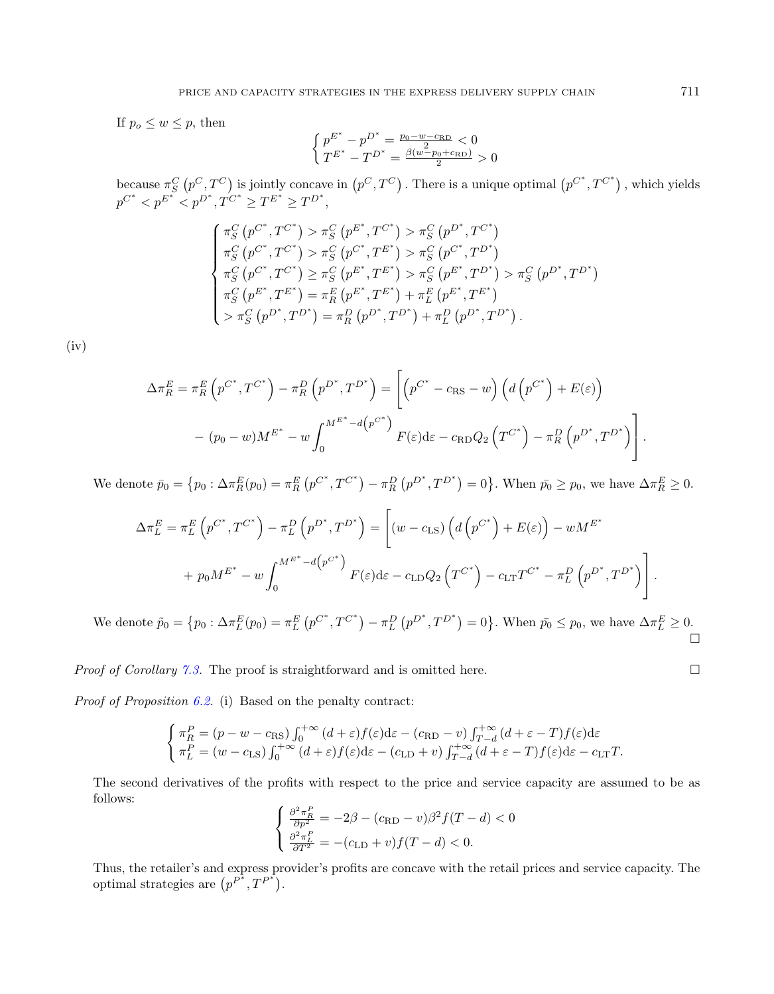If  $p_o \leq w \leq p$ , then

$$
\left\{ \begin{matrix} p^{E^*} - p^{D^*} = \frac{p_0 - w - c_{\text{RD}}}{2} < 0 \\ T^{E^*} - T^{D^*} = \frac{\beta(w - p_0 + c_{\text{RD}})}{2} > 0 \end{matrix} \right.
$$

because  $\pi_S^C(p^C, T^C)$  is jointly concave in  $(p^C, T^C)$ . There is a unique optimal  $(p^{C^*}, T^{C^*})$ , which yields  $p^{C^*} < p^{E^*} < p^{D^*}, T^{C^*} \ge T^{E^*} \ge T^{D^*},$ 

$$
\begin{cases}\n\pi_{S}^{C} (p^{C^*}, T^{C^*}) > \pi_{S}^{C} (p^{E^*}, T^{C^*}) > \pi_{S}^{C} (p^{D^*}, T^{C^*}) \\
\pi_{S}^{C} (p^{C^*}, T^{C^*}) > \pi_{S}^{C} (p^{C^*}, T^{E^*}) > \pi_{S}^{C} (p^{C^*}, T^{D^*}) \\
\pi_{S}^{C} (p^{C^*}, T^{C^*}) \geq \pi_{S}^{C} (p^{E^*}, T^{E^*}) > \pi_{S}^{C} (p^{E^*}, T^{D^*}) > \pi_{S}^{C} (p^{D^*}, T^{D^*}) \\
\pi_{S}^{C} (p^{E^*}, T^{E^*}) = \pi_{R}^{E} (p^{E^*}, T^{E^*}) + \pi_{L}^{E} (p^{E^*}, T^{E^*}) \\
> \pi_{S}^{C} (p^{D^*}, T^{D^*}) = \pi_{R}^{D} (p^{D^*}, T^{D^*}) + \pi_{L}^{D} (p^{D^*}, T^{D^*}).\n\end{cases}
$$

 $(iv)$ 

$$
\Delta \pi_R^E = \pi_R^E \left( p^{C^*}, T^{C^*} \right) - \pi_R^D \left( p^{D^*}, T^{D^*} \right) = \left[ \left( p^{C^*} - c_{\rm RS} - w \right) \left( d \left( p^{C^*} \right) + E(\varepsilon) \right) \right.
$$

$$
- (p_0 - w) M^{E^*} - w \int_0^{M^{E^*} - d \left( p^{C^*} \right)} F(\varepsilon) d\varepsilon - c_{\rm RD} Q_2 \left( T^{C^*} \right) - \pi_R^D \left( p^{D^*}, T^{D^*} \right) \right].
$$

We denote  $\bar{p}_0 = \{p_0 : \Delta \pi_R^E(p_0) = \pi_R^E(p^{C^*}, T^{C^*}) - \pi_R^D(p^{D^*}, T^{D^*}) = 0\}$ . When  $\bar{p}_0 \geq p_0$ , we have  $\Delta \pi_R^E \geq 0$ .

$$
\Delta \pi_L^E = \pi_L^E \left( p^{C^*}, T^{C^*} \right) - \pi_L^D \left( p^{D^*}, T^{D^*} \right) = \left[ \left( w - c_{\text{LS}} \right) \left( d \left( p^{C^*} \right) + E(\varepsilon) \right) - w M^{E^*} + p_0 M^{E^*} - w \int_0^{M^{E^*} - d \left( p^{C^*} \right)} F(\varepsilon) d\varepsilon - c_{\text{LD}} Q_2 \left( T^{C^*} \right) - c_{\text{LT}} T^{C^*} - \pi_L^D \left( p^{D^*}, T^{D^*} \right) \right].
$$

We denote  $\tilde{p}_0 = \{p_0 : \Delta \pi_L^E(p_0) = \pi_L^E(p^{C^*}, T^{C^*}) - \pi_L^D(p^{D^*}, T^{D^*}) = 0\}$ . When  $\bar{p}_0 \leq p_0$ , we have  $\Delta \pi_L^E \geq 0$ .  $\Box$ 

*Proof of Corollary [7.3.](#page-11-1)* The proof is straightforward and is omitted here.

Proof of Proposition [6.2.](#page-8-3) (i) Based on the penalty contract:

$$
\begin{cases}\n\pi_R^P = (p - w - c_{\text{RS}}) \int_0^{+\infty} (d + \varepsilon) f(\varepsilon) d\varepsilon - (c_{\text{RD}} - v) \int_{T-d}^{+\infty} (d + \varepsilon - T) f(\varepsilon) d\varepsilon \\
\pi_L^P = (w - c_{\text{LS}}) \int_0^{+\infty} (d + \varepsilon) f(\varepsilon) d\varepsilon - (c_{\text{LD}} + v) \int_{T-d}^{+\infty} (d + \varepsilon - T) f(\varepsilon) d\varepsilon - c_{\text{LT}} T.\n\end{cases}
$$

The second derivatives of the profits with respect to the price and service capacity are assumed to be as follows:

$$
\begin{cases} \frac{\partial^2 \pi_R^P}{\partial p^2} = -2\beta - (c_{\text{RD}} - v)\beta^2 f(T - d) < 0\\ \frac{\partial^2 \pi_L^P}{\partial T^2} = -(c_{\text{LD}} + v)f(T - d) < 0. \end{cases}
$$

Thus, the retailer's and express provider's profits are concave with the retail prices and service capacity. The optimal strategies are  $(p^{P^*}, T^{P^*})$ .

$$
\square
$$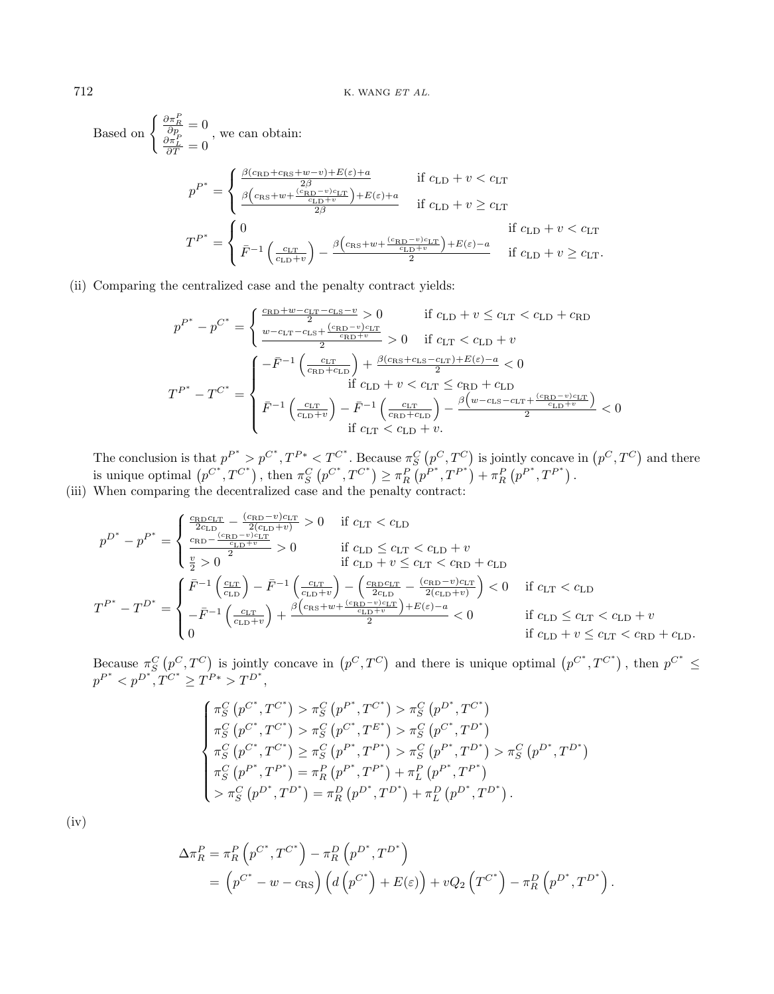Based on 
$$
\begin{cases} \frac{\partial \pi_E^P}{\partial p} = 0 \\ \frac{\partial \pi_L^P}{\partial T} = 0 \end{cases}
$$
, we can obtain:  
\n
$$
p^{P^*} = \begin{cases} \frac{\beta(c_{\text{RD}} + c_{\text{RS}} + w - v) + E(\varepsilon) + a}{2\beta} & \text{if } c_{\text{LD}} + v < c_{\text{LT}} \\ \frac{\beta(c_{\text{RS}} + w + \frac{(c_{\text{RD}} - v)c_{\text{LT}}}{c_{\text{LD}} + v}) + E(\varepsilon) + a}{2\beta} & \text{if } c_{\text{LD}} + v \ge c_{\text{LT}} \end{cases}
$$
  
\n
$$
T^{P^*} = \begin{cases} 0 & \text{if } c_{\text{LD}} + v < c_{\text{LT}} \\ \bar{F}^{-1} \left( \frac{c_{\text{LT}}}{c_{\text{LD}} + v} \right) - \frac{\beta(c_{\text{RS}} + w + \frac{(c_{\text{RD}} - v)c_{\text{LT}}}{c_{\text{LD}} + v}) + E(\varepsilon) - a}{2} & \text{if } c_{\text{LD}} + v \ge c_{\text{LT}}. \end{cases}
$$

(ii) Comparing the centralized case and the penalty contract yields:

$$
p^{P^*} - p^{C^*} = \begin{cases} \frac{c_{\text{RD}} + w - c_{\text{LT}} - c_{\text{LS}} - v}{2} > 0 & \text{if } c_{\text{LD}} + v \leq c_{\text{LT}} < c_{\text{LD}} + c_{\text{RD}}\\ \frac{w - c_{\text{LT}} - c_{\text{LS}} + \frac{(c_{\text{RD}} - v)c_{\text{LT}}}{c_{\text{RD}} + v}}{2} > 0 & \text{if } c_{\text{LT}} < c_{\text{LD}} + v \end{cases}
$$

$$
T^{P^*} - T^{C^*} = \begin{cases} -\bar{F}^{-1} \left( \frac{c_{\text{LT}}}{c_{\text{RD}} + c_{\text{LD}}} \right) + \frac{\beta(c_{\text{RS}} + c_{\text{LS}} - c_{\text{LT}}) + E(\varepsilon) - a}{2} < 0\\ \text{if } c_{\text{LD}} + v < c_{\text{LT}} \leq c_{\text{RD}} + c_{\text{LD}}\\ \bar{F}^{-1} \left( \frac{c_{\text{LT}}}{c_{\text{LD}} + v} \right) - \bar{F}^{-1} \left( \frac{c_{\text{LT}}}{c_{\text{RD}} + c_{\text{LD}}} \right) - \frac{\beta(w - c_{\text{LS}} - c_{\text{LT}} + \frac{(c_{\text{RD}} - v)c_{\text{LT}}}{c_{\text{LD}} + v}}{2} < 0\\ \text{if } c_{\text{LT}} < c_{\text{LD}} + v. \end{cases}
$$

The conclusion is that  $p^{P^*} > p^{C^*}, T^{P*} < T^{C^*}$ . Because  $\pi_S^C(p^C, T^C)$  is jointly concave in  $(p^C, T^C)$  and there is unique optimal  $(p^{C^*}, T^{C^*})$ , then  $\pi_S^C(p^{C^*}, T^{C^*}) \geq \pi_R^P(p^{P^*}, T^{P^*}) + \pi_R^P(p^{P^*}, T^{P^*})$ . (iii) When comparing the decentralized case and the penalty contract:

$$
p^{D^*} - p^{P^*} = \begin{cases} \frac{c_{\text{RD}}c_{\text{LT}}}{2c_{\text{LD}}} - \frac{(c_{\text{RD}} - v)c_{\text{LT}}}{2(c_{\text{LD}} + v)} > 0 & \text{if } c_{\text{LT}} < c_{\text{LD}} \\ \frac{c_{\text{RD}} - \frac{(c_{\text{RD}} - v)c_{\text{LT}}}{c_{\text{LD}} + v}}{2} > 0 & \text{if } c_{\text{LD}} \le c_{\text{LT}} < c_{\text{LD}} + v \\ \frac{v}{2} > 0 & \text{if } c_{\text{LD}} + v \le c_{\text{LT}} < c_{\text{RD}} + c_{\text{LD}} \end{cases}
$$

$$
T^{P^*} - T^{D^*} = \begin{cases} \bar{F}^{-1} \left( \frac{c_{\text{LT}}}{c_{\text{LD}}} \right) - \bar{F}^{-1} \left( \frac{c_{\text{LT}}}{c_{\text{LD}} + v} \right) - \left( \frac{c_{\text{RD}}c_{\text{LT}}}{2c_{\text{LD}}} - \frac{(c_{\text{RD}} - v)c_{\text{LT}}}{2(c_{\text{LD}} + v)} \right) < 0 & \text{if } c_{\text{LT}} < c_{\text{LD}} \\ -\bar{F}^{-1} \left( \frac{c_{\text{LT}}}{c_{\text{LD}} + v} \right) + \frac{\beta (c_{\text{RS}} + w + \frac{(c_{\text{RD}} - v)c_{\text{LT}}}{c_{\text{LD}} + v} + E(\varepsilon) - a}{2} < 0 & \text{if } c_{\text{LD}} \le c_{\text{LT}} < c_{\text{LD}} + v \\ 0 & \text{if } c_{\text{LD}} + v \le c_{\text{LT}} < c_{\text{RD}} + c_{\text{LD}}. \end{cases}
$$

Because  $\pi_S^C(p^C, T^C)$  is jointly concave in  $(p^C, T^C)$  and there is unique optimal  $(p^{C^*}, T^{C^*})$ , then  $p^{C^*} \leq$  $p^{P^*} < p^{D^*}, \hat{T^{C^*}} \geq \hat{T^{P*}} > T^{D^*},$ 

$$
\begin{cases}\n\pi_S^C(p^{C^*}, T^{C^*}) > \pi_S^C(p^{P^*}, T^{C^*}) > \pi_S^C(p^{D^*}, T^{C^*}) \\
\pi_S^C(p^{C^*}, T^{C^*}) > \pi_S^C(p^{C^*}, T^{E^*}) > \pi_S^C(p^{C^*}, T^{D^*}) \\
\pi_S^C(p^{C^*}, T^{C^*}) \geq \pi_S^C(p^{P^*}, T^{P^*}) > \pi_S^C(p^{P^*}, T^{D^*}) > \pi_S^C(p^{D^*}, T^{D^*}) \\
\pi_S^C(p^{P^*}, T^{P^*}) = \pi_R^P(p^{P^*}, T^{P^*}) + \pi_L^P(p^{P^*}, T^{P^*}) \\
> \pi_S^C(p^{D^*}, T^{D^*}) = \pi_R^D(p^{D^*}, T^{D^*}) + \pi_L^D(p^{D^*}, T^{D^*}).\n\end{cases}
$$

(iv)

$$
\Delta \pi_R^P = \pi_R^P \left( p^{C^*}, T^{C^*} \right) - \pi_R^D \left( p^{D^*}, T^{D^*} \right)
$$
  
= 
$$
\left( p^{C^*} - w - c_{\text{RS}} \right) \left( d \left( p^{C^*} \right) + E(\varepsilon) \right) + vQ_2 \left( T^{C^*} \right) - \pi_R^D \left( p^{D^*}, T^{D^*} \right).
$$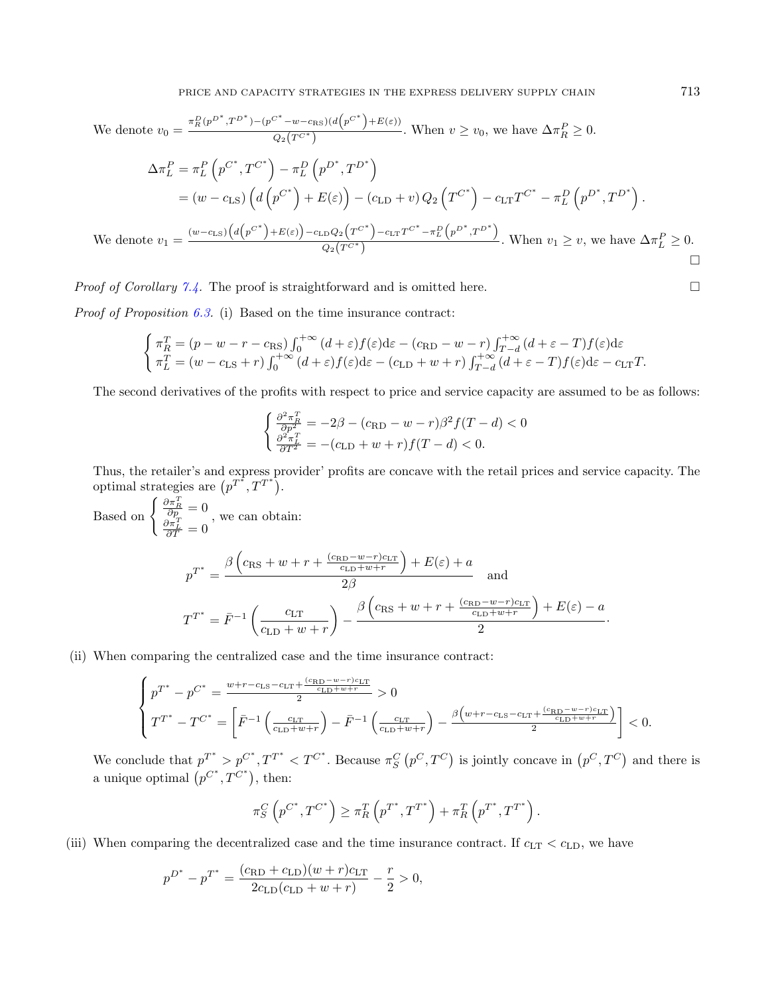We denote 
$$
v_0 = \frac{\pi_R^D (p^{D^*}, T^{D^*}) - (p^{C^*} - w - c_{\text{RS}})(d(p^{C^*}) + E(\varepsilon))}{Q_2(T^{C^*})}.
$$
 When  $v \ge v_0$ , we have  $\Delta \pi_R^P \ge 0$ .  
\n
$$
\Delta \pi_L^P = \pi_L^P (p^{C^*}, T^{C^*}) - \pi_L^D (p^{D^*}, T^{D^*})
$$
\n
$$
= (w - c_{\text{LS}}) \left( d(p^{C^*}) + E(\varepsilon) \right) - (c_{\text{LD}} + v) Q_2 (T^{C^*}) - c_{\text{LT}} T^{C^*} - \pi_L^D (p^{D^*}, T^{D^*}).
$$
\nWe denote  $v_1 = \frac{(w - c_{\text{LS}}) (d(p^{C^*}) + E(\varepsilon)) - c_{\text{LD}} Q_2 (T^{C^*}) - c_{\text{LT}} T^{C^*} - \pi_L^D (p^{D^*}, T^{D^*})}{Q_2(T^{C^*})}.$  When  $v_1 \ge v$ , we have  $\Delta \pi_L^P \ge 0$ .

*Proof of Corollary [7.4.](#page-11-2)* The proof is straightforward and is omitted here.

*Proof of Proposition [6.3.](#page-10-2)* (i) Based on the time insurance contract:

$$
\begin{cases}\n\pi_R^T = (p - w - r - c_{\text{RS}}) \int_0^{+\infty} (d + \varepsilon) f(\varepsilon) d\varepsilon - (c_{\text{RD}} - w - r) \int_{T-d}^{+\infty} (d + \varepsilon - T) f(\varepsilon) d\varepsilon \\
\pi_L^T = (w - c_{\text{LS}} + r) \int_0^{+\infty} (d + \varepsilon) f(\varepsilon) d\varepsilon - (c_{\text{LD}} + w + r) \int_{T-d}^{+\infty} (d + \varepsilon - T) f(\varepsilon) d\varepsilon - c_{\text{LT}} T.\n\end{cases}
$$

The second derivatives of the profits with respect to price and service capacity are assumed to be as follows:

$$
\begin{cases} \frac{\partial^2 \pi_R^T}{\partial p^2} = -2\beta - (c_{\text{RD}} - w - r)\beta^2 f(T - d) < 0\\ \frac{\partial^2 \pi_L^T}{\partial T^2} = -(c_{\text{LD}} + w + r)f(T - d) < 0. \end{cases}
$$

Thus, the retailer's and express provider' profits are concave with the retail prices and service capacity. The optimal strategies are  $(p^{T^*}, T^{T^*})$ .

Based on 
$$
\begin{cases} \frac{\partial \pi_R^T}{\partial p} = 0 \\ \frac{\partial \pi_L^T}{\partial T} = 0 \end{cases}
$$
, we can obtain:  

$$
p^{T^*} = \frac{\beta \left( c_{\text{RS}} + w + r + \frac{(c_{\text{RD}} - w - r)c_{\text{LT}}}{c_{\text{LD}} + w + r} \right) + E(\varepsilon) + a}{2\beta} \quad \text{and}
$$

$$
T^{T^*} = \bar{F}^{-1} \left( \frac{c_{\text{LT}}}{c_{\text{LD}} + w + r} \right) - \frac{\beta \left( c_{\text{RS}} + w + r + \frac{(c_{\text{RD}} - w - r)c_{\text{LT}}}{c_{\text{LD}} + w + r} \right) + E(\varepsilon) - a}{2}.
$$

(ii) When comparing the centralized case and the time insurance contract:

$$
\begin{cases} p^{T^*} - p^{C^*} = \frac{w + r - c_{\text{LS}} - c_{\text{LT}} + \frac{(c_{\text{RD}} - w - r)c_{\text{LT}}}{c_{\text{LD}} + w + r}} > 0\\ T^{T^*} - T^{C^*} = \left[ \bar{F}^{-1} \left( \frac{c_{\text{LT}}}{c_{\text{LD}} + w + r} \right) - \bar{F}^{-1} \left( \frac{c_{\text{LT}}}{c_{\text{LD}} + w + r} \right) - \frac{\beta \left( w + r - c_{\text{LS}} - c_{\text{LT}} + \frac{(c_{\text{RD}} - w - r)c_{\text{LT}}}{c_{\text{LD}} + w + r} \right)}{2} \right] < 0. \end{cases}
$$

We conclude that  $p^{T^*} > p^{C^*}, T^{T^*} < T^{C^*}$ . Because  $\pi_S^C(p^C, T^C)$  is jointly concave in  $(p^C, T^C)$  and there is a unique optimal  $(p^{C^*}, T^{C^*})$ , then:

$$
\pi_S^C \left( p^{C^*}, T^{C^*} \right) \ge \pi_R^T \left( p^{T^*}, T^{T^*} \right) + \pi_R^T \left( p^{T^*}, T^{T^*} \right).
$$

(iii) When comparing the decentralized case and the time insurance contract. If  $c_{LT} < c_{LD}$ , we have

$$
p^{D^*} - p^{T^*} = \frac{(c_{\text{RD}} + c_{\text{LD}})(w + r)c_{\text{LT}}}{2c_{\text{LD}}(c_{\text{LD}} + w + r)} - \frac{r}{2} > 0,
$$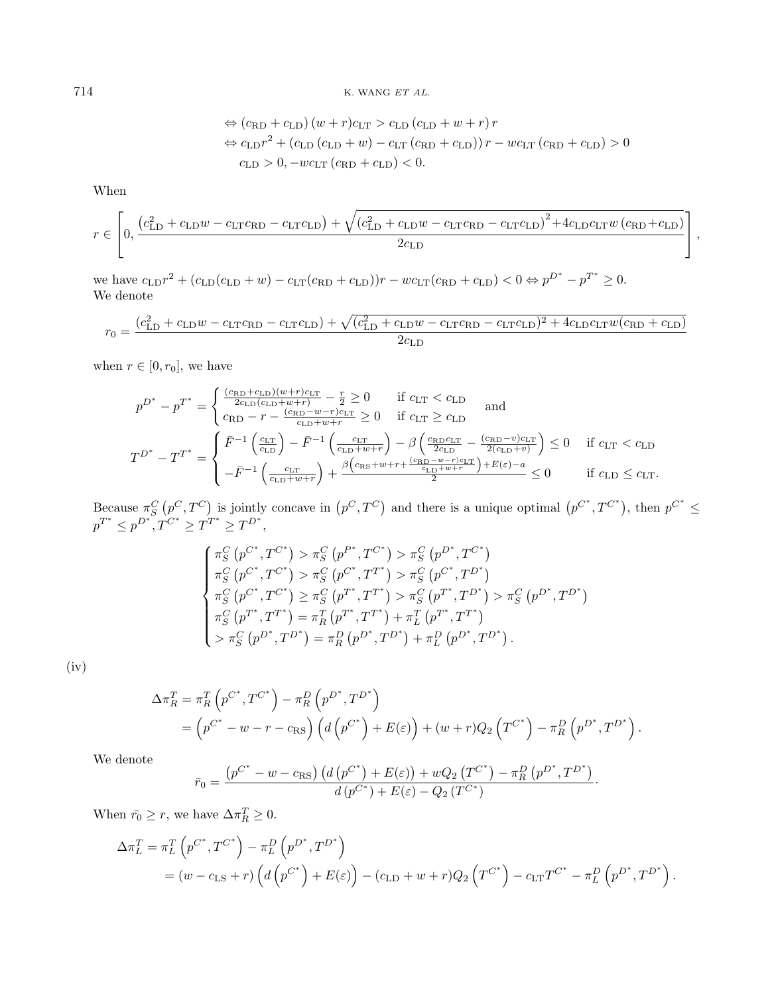714 K. WANG ET AL.

$$
\Leftrightarrow (c_{\text{RD}} + c_{\text{LD}})(w + r)c_{\text{LT}} > c_{\text{LD}}(c_{\text{LD}} + w + r)r
$$
  
\n
$$
\Leftrightarrow c_{\text{LD}}r^2 + (c_{\text{LD}}(c_{\text{LD}} + w) - c_{\text{LT}}(c_{\text{RD}} + c_{\text{LD}}))r - wc_{\text{LT}}(c_{\text{RD}} + c_{\text{LD}}) > 0
$$
  
\n
$$
c_{\text{LD}} > 0, -wc_{\text{LT}}(c_{\text{RD}} + c_{\text{LD}}) < 0.
$$

When

$$
r \in \left[0, \frac{\left(c_{\text{LD}}^{2} + c_{\text{LD}}w - c_{\text{LT}}c_{\text{RD}} - c_{\text{LT}}c_{\text{LD}}\right) + \sqrt{\left(c_{\text{LD}}^{2} + c_{\text{LD}}w - c_{\text{LT}}c_{\text{RD}} - c_{\text{LT}}c_{\text{LD}}\right)^{2} + 4c_{\text{LD}}c_{\text{LT}}w\left(c_{\text{RD}} + c_{\text{LD}}\right)}{2c_{\text{LD}}}\right],
$$

we have  $c_{LD}r^2 + (c_{LD}(c_{LD} + w) - c_{LT}(c_{RD} + c_{LD}))r - wc_{LT}(c_{RD} + c_{LD}) < 0 \Leftrightarrow p^{D^*} - p^{T^*} \ge 0.$ We denote

$$
r_0 = \frac{(c_{\text{LD}}^2 + c_{\text{LD}}w - c_{\text{LT}}c_{\text{RD}} - c_{\text{LT}}c_{\text{LD}}) + \sqrt{(c_{\text{LD}}^2 + c_{\text{LD}}w - c_{\text{LT}}c_{\text{RD}} - c_{\text{LT}}c_{\text{LD}})^2 + 4c_{\text{LD}}c_{\text{LT}}w(c_{\text{RD}} + c_{\text{LD}})}{2c_{\text{LD}}}
$$

when  $r \in [0, r_0]$ , we have

$$
p^{D^*} - p^{T^*} = \begin{cases} \frac{(c_{\text{RD}} + c_{\text{LD}})(w + r)c_{\text{LT}}}{2c_{\text{LD}}(c_{\text{LD}} + w + r)} - \frac{r}{2} \ge 0 & \text{if } c_{\text{LT}} < c_{\text{LD}} \\ c_{\text{RD}} - r - \frac{(c_{\text{RD}} - w - r)c_{\text{LT}}}{c_{\text{LD}} + w + r} \ge 0 & \text{if } c_{\text{LT}} \ge c_{\text{LD}} \end{cases} \text{ and}
$$
  

$$
T^{D^*} - T^{T^*} = \begin{cases} \bar{F}^{-1} \left( \frac{c_{\text{LT}}}{c_{\text{LD}}} \right) - \bar{F}^{-1} \left( \frac{c_{\text{LT}}}{c_{\text{LD}} + w + r} \right) - \beta \left( \frac{c_{\text{RD}}c_{\text{LT}}}{2c_{\text{LD}}} - \frac{(c_{\text{RD}} - v)c_{\text{LT}}}{2(c_{\text{LD}} + v)} \right) \le 0 & \text{if } c_{\text{LT}} < c_{\text{LD}} \\ -\bar{F}^{-1} \left( \frac{c_{\text{LT}}}{c_{\text{LD}} + w + r} \right) + \frac{\beta \left( c_{\text{RS}} + w + r + \frac{(c_{\text{RD}} - w - r)c_{\text{LT}}}{c_{\text{LD}} + w + r} \right) + E(\varepsilon) - a}{2} \le 0 & \text{if } c_{\text{LD}} \le c_{\text{LT}}. \end{cases}
$$

Because  $\pi_S^C(p^C, T^C)$  is jointly concave in  $(p^C, T^C)$  and there is a unique optimal  $(p^{C^*}, T^{C^*})$ , then  $p^{C^*} \leq$  $p^{T^*} \leq p^{D^*}, T^{C^*} \geq T^{T^*} \geq T^{D^*},$ 

$$
\begin{cases}\n\pi_S^C \left( p^{C^*}, T^{C^*} \right) > \pi_S^C \left( p^{P^*}, T^{C^*} \right) > \pi_S^C \left( p^{D^*}, T^{C^*} \right) \\
\pi_S^C \left( p^{C^*}, T^{C^*} \right) > \pi_S^C \left( p^{C^*}, T^{T^*} \right) > \pi_S^C \left( p^{C^*}, T^{D^*} \right) \\
\pi_S^C \left( p^{C^*}, T^{C^*} \right) > \pi_S^C \left( p^{T^*}, T^{T^*} \right) > \pi_S^C \left( p^{T^*}, T^{D^*} \right) > \pi_S^C \left( p^{D^*}, T^{D^*} \right) \\
\pi_S^C \left( p^{T^*}, T^{T^*} \right) &= \pi_R^T \left( p^{T^*}, T^{T^*} \right) + \pi_L^T \left( p^{T^*}, T^{T^*} \right) \\
&> \pi_S^C \left( p^{D^*}, T^{D^*} \right) = \pi_R^D \left( p^{D^*}, T^{D^*} \right) + \pi_L^D \left( p^{D^*}, T^{D^*} \right).\n\end{cases}
$$

(iv)

$$
\Delta \pi_R^T = \pi_R^T \left( p^{C^*}, T^{C^*} \right) - \pi_R^D \left( p^{D^*}, T^{D^*} \right)
$$
  
= 
$$
\left( p^{C^*} - w - r - c_{\text{RS}} \right) \left( d \left( p^{C^*} \right) + E(\varepsilon) \right) + (w + r) Q_2 \left( T^{C^*} \right) - \pi_R^D \left( p^{D^*}, T^{D^*} \right).
$$

We denote

$$
\bar{r}_0 = \frac{(p^{C^*} - w - c_{\text{RS}}) (d (p^{C^*}) + E(\varepsilon)) + wQ_2 (T^{C^*}) - \pi_R^D (p^{D^*}, T^{D^*})}{d (p^{C^*}) + E(\varepsilon) - Q_2 (T^{C^*})}.
$$

When  $\bar{r}_0 \ge r$ , we have  $\Delta \pi_R^T \ge 0$ .

$$
\Delta \pi_L^T = \pi_L^T (p^{C^*}, T^{C^*}) - \pi_L^D (p^{D^*}, T^{D^*})
$$
  
=  $(w - c_{LS} + r) (d (p^{C^*}) + E(\varepsilon)) - (c_{LD} + w + r)Q_2 (T^{C^*}) - c_{LT}T^{C^*} - \pi_L^D (p^{D^*}, T^{D^*}).$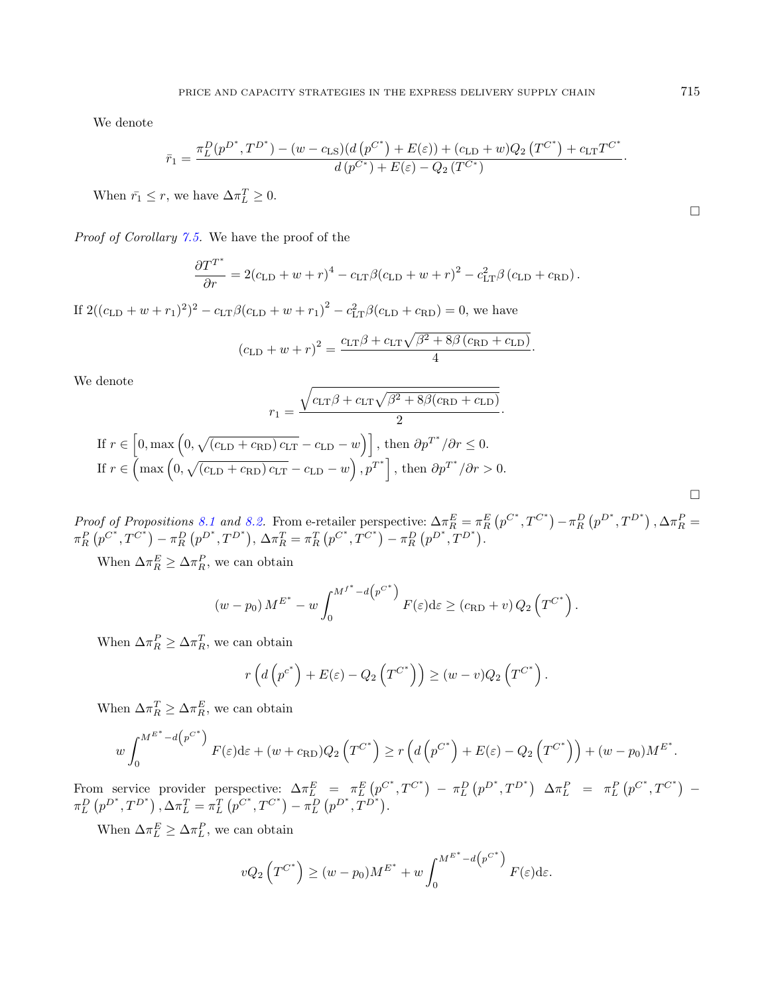We denote

$$
\bar{r}_1 = \frac{\pi_L^D(p^{D^*}, T^{D^*}) - (w - c_{\text{LS}})(d(p^{C^*}) + E(\varepsilon)) + (c_{\text{LD}} + w)Q_2(T^{C^*}) + c_{\text{LT}}T^{C^*}}{d(p^{C^*}) + E(\varepsilon) - Q_2(T^{C^*})}.
$$

When  $\bar{r}_1 \leq r$ , we have  $\Delta \pi_L^T \geq 0$ .

Proof of Corollary [7.5.](#page-11-3) We have the proof of the

$$
\frac{\partial T^{T^*}}{\partial r} = 2(c_{\text{LD}} + w + r)^4 - c_{\text{LT}}\beta (c_{\text{LD}} + w + r)^2 - c_{\text{LT}}^2 \beta (c_{\text{LD}} + c_{\text{RD}}).
$$

If  $2((c_{\text{LD}} + w + r_1)^2)^2 - c_{\text{LT}}\beta(c_{\text{LD}} + w + r_1)^2 - c_{\text{LT}}^2\beta(c_{\text{LD}} + c_{\text{RD}}) = 0$ , we have

$$
(c_{\text{LD}} + w + r)^2 = \frac{c_{\text{LT}}\beta + c_{\text{LT}}\sqrt{\beta^2 + 8\beta (c_{\text{RD}} + c_{\text{LD}})}}{4}.
$$

We denote

$$
r_1 = \frac{\sqrt{c_{\text{LT}}\beta + c_{\text{LT}}\sqrt{\beta^2 + 8\beta(c_{\text{RD}} + c_{\text{LD}})}}}{2}.
$$
  
If  $r \in [0, \max\left(0, \sqrt{(c_{\text{LD}} + c_{\text{RD}}) c_{\text{LT}} - c_{\text{LD}} - w}\right)]$ , then  $\partial p^{T^*}/\partial r \le 0$ .  
If  $r \in (\max\left(0, \sqrt{(c_{\text{LD}} + c_{\text{RD}}) c_{\text{LT}} - c_{\text{LD}} - w}\right), p^{T^*}\right]$ , then  $\partial p^{T^*}/\partial r > 0$ .

Proof of Propositions [8.1](#page-13-1) and [8.2.](#page-14-1) From e-retailer perspective:  $\Delta \pi_R^E = \pi_R^E (p^{C^*}, T^{C^*}) - \pi_R^D (p^{D^*}, T^{D^*})$ ,  $\Delta \pi_R^P =$  $\pi_R^P(p^{C^*}, T^{C^*}) - \pi_R^D(p^{D^*}, T^{D^*}), \Delta \pi_R^T = \pi_R^T(p^{C^*}, T^{C^*}) - \pi_R^D(p^{D^*}, T^{D^*}).$ 

When  $\Delta \pi_R^E \geq \Delta \pi_R^P$ , we can obtain

$$
(w - p_0) M^{E^*} - w \int_0^{M^{f^*} - d(p^{C^*})} F(\varepsilon) d\varepsilon \ge (c_{\text{RD}} + v) Q_2 \left( T^{C^*} \right).
$$

When  $\Delta \pi_R^P \geq \Delta \pi_R^T$ , we can obtain

$$
r\left(d\left(p^{c^*}\right) + E(\varepsilon) - Q_2\left(T^{C^*}\right)\right) \ge (w-v)Q_2\left(T^{C^*}\right).
$$

When  $\Delta \pi_R^T \geq \Delta \pi_R^E$ , we can obtain

$$
w \int_0^{M^{E^*} - d\left(p^{C^*}\right)} F(\varepsilon) d\varepsilon + (w + c_{\text{RD}}) Q_2\left(T^{C^*}\right) \ge r \left(d\left(p^{C^*}\right) + E(\varepsilon) - Q_2\left(T^{C^*}\right)\right) + (w - p_0) M^{E^*}.
$$

From service provider perspective:  $\Delta \pi_L^E = \pi_L^E (p^{C^*}, T^{C^*}) - \pi_L^D (p^{D^*}, T^{D^*}) \Delta \pi_L^P = \pi_L^P (p^{C^*}, T^{C^*}) \pi_L^D(p^{D^*}, T^{D^*})$ ,  $\Delta \pi_L^T = \pi_L^T(p^{C^*}, T^{C^*}) - \pi_L^D(p^{D^*}, T^{D^*}).$ 

When  $\Delta \pi_L^E \geq \Delta \pi_L^P$ , we can obtain

$$
vQ_2\left(T^{C^*}\right) \ge (w - p_0)M^{E^*} + w \int_0^{M^{E^*} - d\left(p^{C^*}\right)} F(\varepsilon) d\varepsilon.
$$

 $\Box$ 

 $\Box$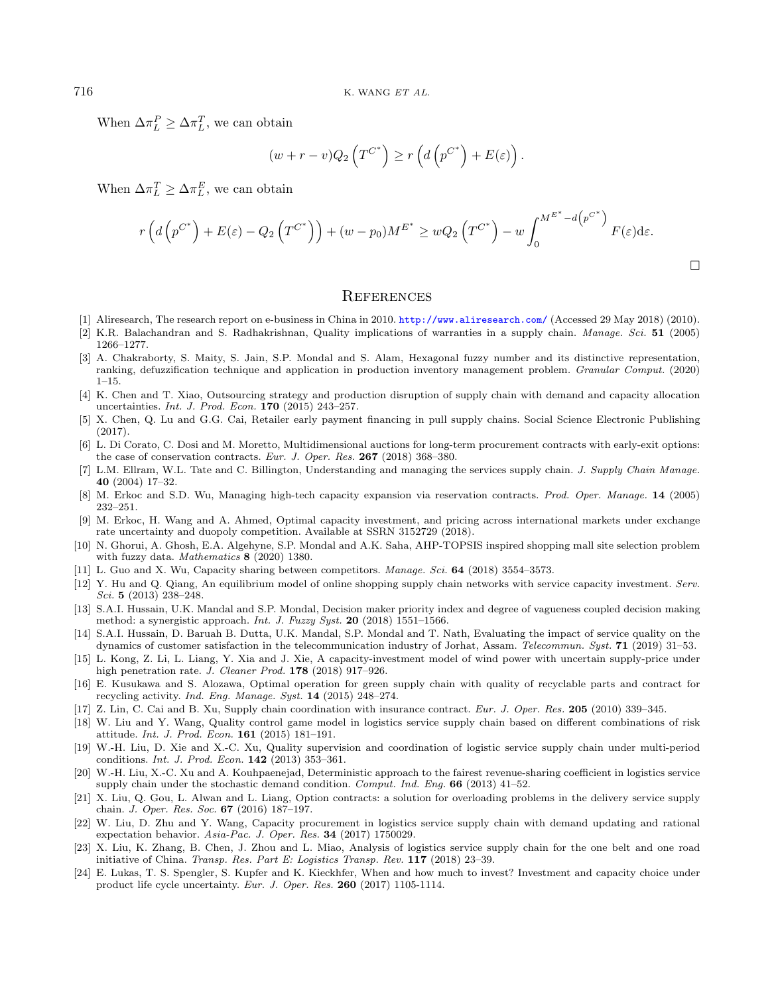<span id="page-27-13"></span><span id="page-27-0"></span>When  $\Delta \pi_L^P \geq \Delta \pi_L^T$ , we can obtain

$$
(w+r-v)Q_2\left(T^{C^*}\right) \ge r\left(d\left(p^{C^*}\right)+E(\varepsilon)\right).
$$

<span id="page-27-20"></span><span id="page-27-14"></span><span id="page-27-12"></span>When  $\Delta \pi_L^T \geq \Delta \pi_L^E$ , we can obtain

$$
r\left(d\left(p^{C^*}\right)+E(\varepsilon)-Q_2\left(T^{C^*}\right)\right)+(w-p_0)M^{E^*}\geq wQ_2\left(T^{C^*}\right)-w\int_0^{M^{E^*}-d\left(p^{C^*}\right)}F(\varepsilon)d\varepsilon.
$$

 $\Box$ 

### **REFERENCES**

- <span id="page-27-18"></span><span id="page-27-4"></span><span id="page-27-3"></span>[1] Aliresearch, The research report on e-business in China in 2010. <http://www.aliresearch.com/> (Accessed 29 May 2018) (2010).
- <span id="page-27-10"></span>[2] K.R. Balachandran and S. Radhakrishnan, Quality implications of warranties in a supply chain. Manage. Sci. 51 (2005) 1266–1277.
- <span id="page-27-21"></span>[3] A. Chakraborty, S. Maity, S. Jain, S.P. Mondal and S. Alam, Hexagonal fuzzy number and its distinctive representation, ranking, defuzzification technique and application in production inventory management problem. Granular Comput. (2020) 1–15.
- <span id="page-27-11"></span><span id="page-27-1"></span>[4] K. Chen and T. Xiao, Outsourcing strategy and production disruption of supply chain with demand and capacity allocation uncertainties. Int. J. Prod. Econ. 170 (2015) 243–257.
- <span id="page-27-22"></span>[5] X. Chen, Q. Lu and G.G. Cai, Retailer early payment financing in pull supply chains. Social Science Electronic Publishing (2017).
- <span id="page-27-23"></span>[6] L. Di Corato, C. Dosi and M. Moretto, Multidimensional auctions for long-term procurement contracts with early-exit options: the case of conservation contracts. Eur. J. Oper. Res. 267 (2018) 368–380.
- <span id="page-27-9"></span>L.M. Ellram, W.L. Tate and C. Billington, Understanding and managing the services supply chain. J. Supply Chain Manage. 40 (2004) 17–32.
- <span id="page-27-16"></span>[8] M. Erkoc and S.D. Wu, Managing high-tech capacity expansion via reservation contracts. Prod. Oper. Manage. 14 (2005) 232–251.
- <span id="page-27-17"></span>[9] M. Erkoc, H. Wang and A. Ahmed, Optimal capacity investment, and pricing across international markets under exchange rate uncertainty and duopoly competition. Available at SSRN 3152729 (2018).
- <span id="page-27-2"></span>[10] N. Ghorui, A. Ghosh, E.A. Algehyne, S.P. Mondal and A.K. Saha, AHP-TOPSIS inspired shopping mall site selection problem with fuzzy data. Mathematics 8 (2020) 1380.
- <span id="page-27-5"></span>[11] L. Guo and X. Wu, Capacity sharing between competitors. Manage. Sci. 64 (2018) 3554–3573.
- <span id="page-27-19"></span>[12] Y. Hu and Q. Qiang, An equilibrium model of online shopping supply chain networks with service capacity investment. Serv. Sci. 5 (2013) 238–248.
- <span id="page-27-7"></span>[13] S.A.I. Hussain, U.K. Mandal and S.P. Mondal, Decision maker priority index and degree of vagueness coupled decision making method: a synergistic approach. Int. J. Fuzzy Syst. 20 (2018) 1551–1566.
- <span id="page-27-6"></span>[14] S.A.I. Hussain, D. Baruah B. Dutta, U.K. Mandal, S.P. Mondal and T. Nath, Evaluating the impact of service quality on the dynamics of customer satisfaction in the telecommunication industry of Jorhat, Assam. Telecommun. Syst. 71 (2019) 31–53.
- <span id="page-27-8"></span>[15] L. Kong, Z. Li, L. Liang, Y. Xia and J. Xie, A capacity-investment model of wind power with uncertain supply-price under high penetration rate. J. Cleaner Prod. 178 (2018) 917-926.
- <span id="page-27-15"></span>[16] E. Kusukawa and S. Alozawa, Optimal operation for green supply chain with quality of recyclable parts and contract for recycling activity. Ind. Eng. Manage. Syst. 14 (2015) 248–274.
- [17] Z. Lin, C. Cai and B. Xu, Supply chain coordination with insurance contract. Eur. J. Oper. Res. 205 (2010) 339–345.
- [18] W. Liu and Y. Wang, Quality control game model in logistics service supply chain based on different combinations of risk attitude. Int. J. Prod. Econ. 161 (2015) 181–191.
- [19] W.-H. Liu, D. Xie and X.-C. Xu, Quality supervision and coordination of logistic service supply chain under multi-period conditions. Int. J. Prod. Econ. 142 (2013) 353–361.
- [20] W.-H. Liu, X.-C. Xu and A. Kouhpaenejad, Deterministic approach to the fairest revenue-sharing coefficient in logistics service supply chain under the stochastic demand condition. Comput. Ind. Eng. 66 (2013) 41–52.
- [21] X. Liu, Q. Gou, L. Alwan and L. Liang, Option contracts: a solution for overloading problems in the delivery service supply chain. J. Oper. Res. Soc. 67 (2016) 187–197.
- [22] W. Liu, D. Zhu and Y. Wang, Capacity procurement in logistics service supply chain with demand updating and rational expectation behavior. Asia-Pac. J. Oper. Res. 34 (2017) 1750029.
- [23] X. Liu, K. Zhang, B. Chen, J. Zhou and L. Miao, Analysis of logistics service supply chain for the one belt and one road initiative of China. Transp. Res. Part E: Logistics Transp. Rev. 117 (2018) 23–39.
- [24] E. Lukas, T. S. Spengler, S. Kupfer and K. Kieckhfer, When and how much to invest? Investment and capacity choice under product life cycle uncertainty. Eur. J. Oper. Res. 260 (2017) 1105-1114.